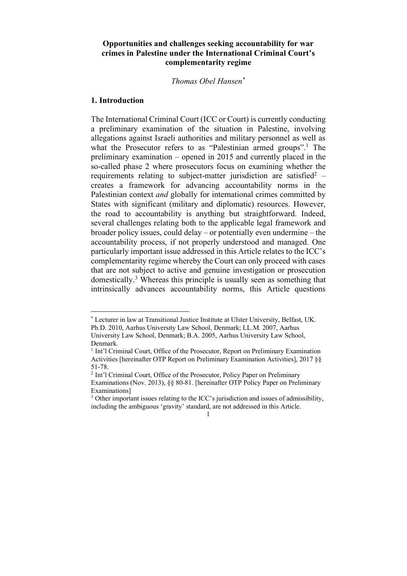# **Opportunities and challenges seeking accountability for war crimes in Palestine under the International Criminal Court's complementarity regime**

# *Thomas Obel Hansen\**

#### **1. Introduction**

The International Criminal Court (ICC or Court) is currently conducting a preliminary examination of the situation in Palestine, involving allegations against Israeli authorities and military personnel as well as what the Prosecutor refers to as "Palestinian armed groups".<sup>1</sup> The preliminary examination – opened in 2015 and currently placed in the so-called phase 2 where prosecutors focus on examining whether the requirements relating to subject-matter jurisdiction are satisfied<sup>2</sup> – creates a framework for advancing accountability norms in the Palestinian context *and* globally for international crimes committed by States with significant (military and diplomatic) resources. However, the road to accountability is anything but straightforward. Indeed, several challenges relating both to the applicable legal framework and broader policy issues, could delay – or potentially even undermine – the accountability process, if not properly understood and managed. One particularly important issue addressed in this Article relates to the ICC's complementarity regime whereby the Court can only proceed with cases that are not subject to active and genuine investigation or prosecution domestically.3 Whereas this principle is usually seen as something that intrinsically advances accountability norms, this Article questions

 <sup>\*</sup> Lecturer in law at Transitional Justice Institute at Ulster University, Belfast, UK. Ph.D. 2010, Aarhus University Law School, Denmark; LL.M. 2007, Aarhus

University Law School, Denmark; B.A. 2005, Aarhus University Law School, Denmark.

<sup>&</sup>lt;sup>1</sup> Int'l Criminal Court, Office of the Prosecutor, Report on Preliminary Examination Activities [hereinafter OTP Report on Preliminary Examination Activities], 2017 §§ 51-78.

<sup>2</sup> Int'l Criminal Court, Office of the Prosecutor, Policy Paper on Preliminary Examinations (Nov. 2013), §§ 80-81. [hereinafter OTP Policy Paper on Preliminary Examinations]

<sup>&</sup>lt;sup>3</sup> Other important issues relating to the ICC's jurisdiction and issues of admissibility, including the ambiguous 'gravity' standard, are not addressed in this Article.

<sup>1</sup>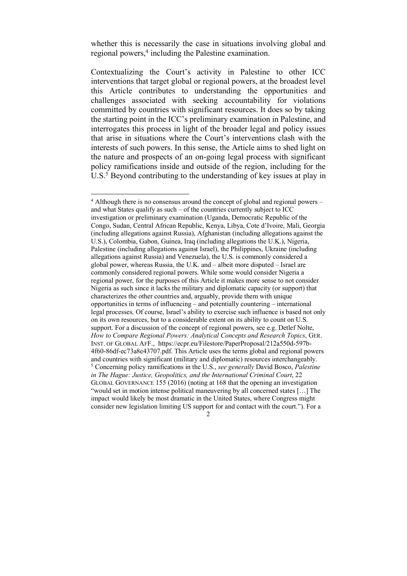whether this is necessarily the case in situations involving global and regional powers,<sup>4</sup> including the Palestine examination.

Contextualizing the Court's activity in Palestine to other ICC interventions that target global or regional powers, at the broadest level this Article contributes to understanding the opportunities and challenges associated with seeking accountability for violations committed by countries with significant resources. It does so by taking the starting point in the ICC's preliminary examination in Palestine, and interrogates this process in light of the broader legal and policy issues that arise in situations where the Court's interventions clash with the interests of such powers. In this sense, the Article aims to shed light on the nature and prospects of an on-going legal process with significant policy ramifications inside and outside of the region, including for the U.S.<sup>5</sup> Beyond contributing to the understanding of key issues at play in

 $4$  Although there is no consensus around the concept of global and regional powers – and what States qualify as such – of the countries currently subject to ICC investigation or preliminary examination (Uganda, Democratic Republic of the Congo, Sudan, Central African Republic, Kenya, Libya, Cote d'Ivoire, Mali, Georgia (including allegations against Russia), Afghanistan (including allegations against the U.S.), Colombia, Gabon, Guinea, Iraq (including allegations the U.K.), Nigeria, Palestine (including allegations against Israel), the Philippines, Ukraine (including allegations against Russia) and Venezuela), the U.S. is commonly considered a global power, whereas Russia, the U.K. and – albeit more disputed – Israel are commonly considered regional powers. While some would consider Nigeria a regional power, for the purposes of this Article it makes more sense to not consider Nigeria as such since it lacks the military and diplomatic capacity (or support) that characterizes the other countries and, arguably, provide them with unique opportunities in terms of influencing – and potentially countering – international legal processes. Of course, Israel's ability to exercise such influence is based not only on its own resources, but to a considerable extent on its ability to count on U.S. support. For a discussion of the concept of regional powers, see e.g. Detlef Nolte, *How to Compare Regional Powers: Analytical Concepts and Research Topics*, GER. INST. OF GLOBAL AFF., https://ecpr.eu/Filestore/PaperProposal/212a550d-597b-4f60-86df-ec73a8e43707.pdf. This Article uses the terms global and regional powers and countries with significant (military and diplomatic) resources interchangeably. <sup>5</sup> Concerning policy ramifications in the U.S., *see generally* David Bosco, *Palestine in The Hague: Justice, Geopolitics, and the International Criminal Court*, 22 GLOBAL GOVERNANCE 155 (2016) (noting at 168 that the opening an investigation "would set in motion intense political maneuvering by all concerned states […] The impact would likely be most dramatic in the United States, where Congress might consider new legislation limiting US support for and contact with the court."). For a

 $\mathcal{D}$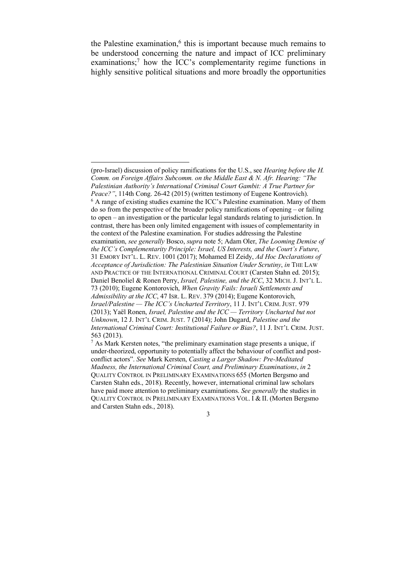the Palestine examination, $<sup>6</sup>$  this is important because much remains to</sup> be understood concerning the nature and impact of ICC preliminary examinations;<sup>7</sup> how the ICC's complementarity regime functions in highly sensitive political situations and more broadly the opportunities

 $\overline{a}$ 

<sup>(</sup>pro-Israel) discussion of policy ramifications for the U.S., see *Hearing before the H. Comm. on Foreign Affairs Subcomm. on the Middle East & N. Afr. Hearing: "The Palestinian Authority's International Criminal Court Gambit: A True Partner for Peace?"*, 114th Cong. 26-42 (2015) (written testimony of Eugene Kontrovich). <sup>6</sup> A range of existing studies examine the ICC's Palestine examination. Many of them do so from the perspective of the broader policy ramifications of opening – or failing to open – an investigation or the particular legal standards relating to jurisdiction. In contrast, there has been only limited engagement with issues of complementarity in the context of the Palestine examination. For studies addressing the Palestine examination, *see generally* Bosco, *supra* note 5; Adam Oler, *The Looming Demise of the ICC's Complementarity Principle: Israel, US Interests, and the Court's Future*, 31 EMORY INT'L. L. REV. 1001 (2017); Mohamed El Zeidy, *Ad Hoc Declarations of Acceptance of Jurisdiction: The Palestinian Situation Under Scrutiny*, *in* THE LAW AND PRACTICE OF THE INTERNATIONAL CRIMINAL COURT (Carsten Stahn ed. 2015); Daniel Benoliel & Ronen Perry, *Israel, Palestine, and the ICC*, 32 MICH. J. INT'L L. 73 (2010); Eugene Kontorovich, *When Gravity Fails: Israeli Settlements and Admissibility at the ICC*, 47 ISR. L. REV. 379 (2014); Eugene Kontorovich, *Israel/Palestine — The ICC's Uncharted Territory*, 11 J. INT'L CRIM. JUST. 979 (2013); Yaël Ronen, *Israel, Palestine and the ICC — Territory Uncharted but not Unknown*, 12 J. INT'L CRIM. JUST. 7 (2014); John Dugard, *Palestine and the International Criminal Court: Institutional Failure or Bias?*, 11 J. INT'L CRIM. JUST. 563 (2013).

 $<sup>7</sup>$  As Mark Kersten notes, "the preliminary examination stage presents a unique, if</sup> under-theorized, opportunity to potentially affect the behaviour of conflict and postconflict actors". *See* Mark Kersten, *Casting a Larger Shadow: Pre-Meditated Madness, the International Criminal Court, and Preliminary Examinations*, *in* 2 QUALITY CONTROL IN PRELIMINARY EXAMINATIONS 655 (Morten Bergsmo and Carsten Stahn eds., 2018). Recently, however, international criminal law scholars have paid more attention to preliminary examinations. *See generally* the studies in QUALITY CONTROL IN PRELIMINARY EXAMINATIONS VOL. I & II. (Morten Bergsmo and Carsten Stahn eds., 2018).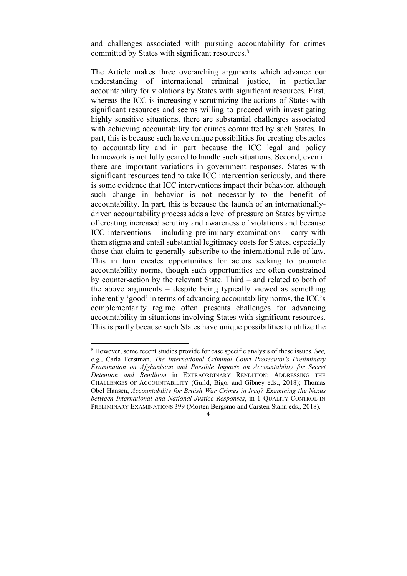and challenges associated with pursuing accountability for crimes committed by States with significant resources.8

The Article makes three overarching arguments which advance our understanding of international criminal justice, in particular accountability for violations by States with significant resources. First, whereas the ICC is increasingly scrutinizing the actions of States with significant resources and seems willing to proceed with investigating highly sensitive situations, there are substantial challenges associated with achieving accountability for crimes committed by such States. In part, this is because such have unique possibilities for creating obstacles to accountability and in part because the ICC legal and policy framework is not fully geared to handle such situations. Second, even if there are important variations in government responses, States with significant resources tend to take ICC intervention seriously, and there is some evidence that ICC interventions impact their behavior, although such change in behavior is not necessarily to the benefit of accountability. In part, this is because the launch of an internationallydriven accountability process adds a level of pressure on States by virtue of creating increased scrutiny and awareness of violations and because ICC interventions – including preliminary examinations – carry with them stigma and entail substantial legitimacy costs for States, especially those that claim to generally subscribe to the international rule of law. This in turn creates opportunities for actors seeking to promote accountability norms, though such opportunities are often constrained by counter-action by the relevant State. Third – and related to both of the above arguments – despite being typically viewed as something inherently 'good' in terms of advancing accountability norms, the ICC's complementarity regime often presents challenges for advancing accountability in situations involving States with significant resources. This is partly because such States have unique possibilities to utilize the

 <sup>8</sup> However, some recent studies provide for case specific analysis of these issues. *See, e.g.*, Carla Ferstman, *The International Criminal Court Prosecutor's Preliminary Examination on Afghanistan and Possible Impacts on Accountability for Secret Detention and Rendition* in EXTRAORDINARY RENDITION: ADDRESSING THE CHALLENGES OF ACCOUNTABILITY (Guild, Bigo, and Gibney eds., 2018); Thomas Obel Hansen, *Accountability for British War Crimes in Iraq? Examining the Nexus between International and National Justice Responses*, in 1 QUALITY CONTROL IN PRELIMINARY EXAMINATIONS 399 (Morten Bergsmo and Carsten Stahn eds., 2018).

<sup>4</sup>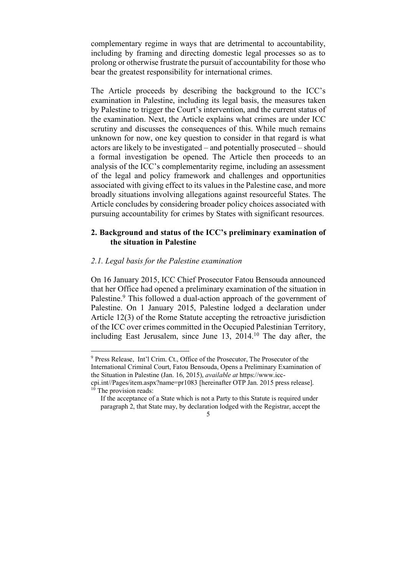complementary regime in ways that are detrimental to accountability, including by framing and directing domestic legal processes so as to prolong or otherwise frustrate the pursuit of accountability for those who bear the greatest responsibility for international crimes.

The Article proceeds by describing the background to the ICC's examination in Palestine, including its legal basis, the measures taken by Palestine to trigger the Court's intervention, and the current status of the examination. Next, the Article explains what crimes are under ICC scrutiny and discusses the consequences of this. While much remains unknown for now, one key question to consider in that regard is what actors are likely to be investigated – and potentially prosecuted – should a formal investigation be opened. The Article then proceeds to an analysis of the ICC's complementarity regime, including an assessment of the legal and policy framework and challenges and opportunities associated with giving effect to its values in the Palestine case, and more broadly situations involving allegations against resourceful States. The Article concludes by considering broader policy choices associated with pursuing accountability for crimes by States with significant resources.

# **2. Background and status of the ICC's preliminary examination of the situation in Palestine**

#### *2.1. Legal basis for the Palestine examination*

On 16 January 2015, ICC Chief Prosecutor Fatou Bensouda announced that her Office had opened a preliminary examination of the situation in Palestine.<sup>9</sup> This followed a dual-action approach of the government of Palestine. On 1 January 2015, Palestine lodged a declaration under Article 12(3) of the Rome Statute accepting the retroactive jurisdiction of the ICC over crimes committed in the Occupied Palestinian Territory, including East Jerusalem, since June 13, 2014.10 The day after, the

 <sup>9</sup> Press Release, Int'l Crim. Ct., Office of the Prosecutor, The Prosecutor of the International Criminal Court, Fatou Bensouda, Opens a Preliminary Examination of the Situation in Palestine (Jan. 16, 2015), *available at* https://www.icc-

cpi.int//Pages/item.aspx?name=pr1083 [hereinafter OTP Jan. 2015 press release].  $10$  The provision reads:

If the acceptance of a State which is not a Party to this Statute is required under paragraph 2, that State may, by declaration lodged with the Registrar, accept the

<sup>5</sup>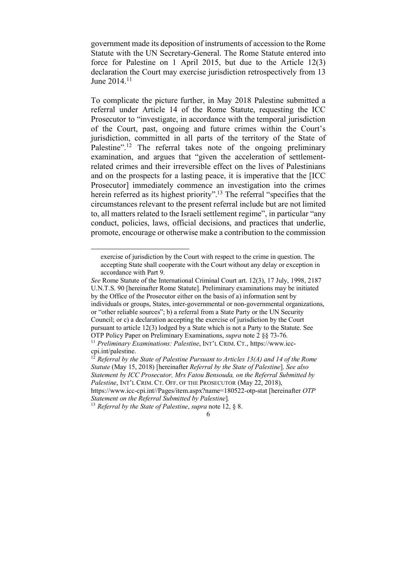government made its deposition of instruments of accession to the Rome Statute with the UN Secretary-General. The Rome Statute entered into force for Palestine on 1 April 2015, but due to the Article 12(3) declaration the Court may exercise jurisdiction retrospectively from 13 June 2014.<sup>11</sup>

To complicate the picture further, in May 2018 Palestine submitted a referral under Article 14 of the Rome Statute, requesting the ICC Prosecutor to "investigate, in accordance with the temporal jurisdiction of the Court, past, ongoing and future crimes within the Court's jurisdiction, committed in all parts of the territory of the State of Palestine".<sup>12</sup> The referral takes note of the ongoing preliminary examination, and argues that "given the acceleration of settlementrelated crimes and their irreversible effect on the lives of Palestinians and on the prospects for a lasting peace, it is imperative that the [ICC Prosecutor] immediately commence an investigation into the crimes herein referred as its highest priority".<sup>13</sup> The referral "specifies that the circumstances relevant to the present referral include but are not limited to, all matters related to the Israeli settlement regime", in particular "any conduct, policies, laws, official decisions, and practices that underlie, promote, encourage or otherwise make a contribution to the commission

exercise of jurisdiction by the Court with respect to the crime in question. The accepting State shall cooperate with the Court without any delay or exception in accordance with Part 9.

*See* Rome Statute of the International Criminal Court art. 12(3), 17 July, 1998, 2187 U.N.T.S. 90 [hereinafter Rome Statute]. Preliminary examinations may be initiated by the Office of the Prosecutor either on the basis of a) information sent by individuals or groups, States, inter-governmental or non-governmental organizations, or "other reliable sources"; b) a referral from a State Party or the UN Security Council; or c) a declaration accepting the exercise of jurisdiction by the Court pursuant to article 12(3) lodged by a State which is not a Party to the Statute. See OTP Policy Paper on Preliminary Examinations, *supra* note 2 §§ 73-76.

<sup>11</sup> *Preliminary Examinations: Palestine*, INT'L CRIM. CT., https://www.icccpi.int/palestine.

<sup>12</sup> *Referral by the State of Palestine Pursuant to Articles 13(A) and 14 of the Rome Statute* (May 15, 2018) [hereinafter *Referral by the State of Palestine*]. *See also Statement by ICC Prosecutor, Mrs Fatou Bensouda, on the Referral Submitted by Palestine*, INT'L CRIM. CT. OFF. OF THE PROSECUTOR (May 22, 2018), https://www.icc-cpi.int//Pages/item.aspx?name=180522-otp-stat [hereinafter *OTP*

*Statement on the Referral Submitted by Palestine*]*.*

<sup>13</sup> *Referral by the State of Palestine*, *supra* note 12, § 8.

<sup>6</sup>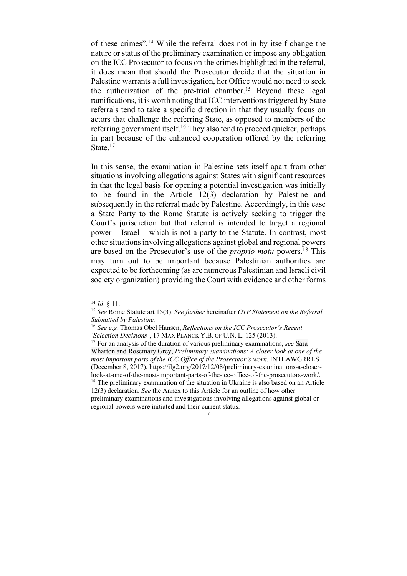of these crimes".14 While the referral does not in by itself change the nature or status of the preliminary examination or impose any obligation on the ICC Prosecutor to focus on the crimes highlighted in the referral, it does mean that should the Prosecutor decide that the situation in Palestine warrants a full investigation, her Office would not need to seek the authorization of the pre-trial chamber.<sup>15</sup> Beyond these legal ramifications, it is worth noting that ICC interventions triggered by State referrals tend to take a specific direction in that they usually focus on actors that challenge the referring State, as opposed to members of the referring government itself.16 They also tend to proceed quicker, perhaps in part because of the enhanced cooperation offered by the referring State.<sup>17</sup>

In this sense, the examination in Palestine sets itself apart from other situations involving allegations against States with significant resources in that the legal basis for opening a potential investigation was initially to be found in the Article 12(3) declaration by Palestine and subsequently in the referral made by Palestine. Accordingly, in this case a State Party to the Rome Statute is actively seeking to trigger the Court's jurisdiction but that referral is intended to target a regional power – Israel – which is not a party to the Statute. In contrast, most other situations involving allegations against global and regional powers are based on the Prosecutor's use of the *proprio motu* powers.18 This may turn out to be important because Palestinian authorities are expected to be forthcoming (as are numerous Palestinian and Israeli civil society organization) providing the Court with evidence and other forms

<sup>17</sup> For an analysis of the duration of various preliminary examinations, *see* Sara Wharton and Rosemary Grey, *Preliminary examinations: A closer look at one of the most important parts of the ICC Office of the Prosecutor's work*, INTLAWGRRLS (December 8, 2017), https://ilg2.org/2017/12/08/preliminary-examinations-a-closerlook-at-one-of-the-most-important-parts-of-the-icc-office-of-the-prosecutors-work/. <sup>18</sup> The preliminary examination of the situation in Ukraine is also based on an Article 12(3) declaration. *See* the Annex to this Article for an outline of how other preliminary examinations and investigations involving allegations against global or regional powers were initiated and their current status.

 <sup>14</sup> *Id*. § 11.

<sup>15</sup> *See* Rome Statute art 15(3). *See further* hereinafter *OTP Statement on the Referral Submitted by Palestine.*

<sup>16</sup> *See e.g.* Thomas Obel Hansen, *Reflections on the ICC Prosecutor's Recent 'Selection Decisions'*, 17 MAX PLANCK Y.B. OF U.N. L. 125 (2013).

<sup>7</sup>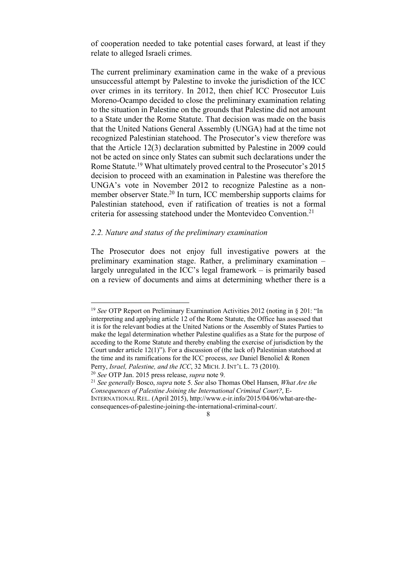of cooperation needed to take potential cases forward, at least if they relate to alleged Israeli crimes.

The current preliminary examination came in the wake of a previous unsuccessful attempt by Palestine to invoke the jurisdiction of the ICC over crimes in its territory. In 2012, then chief ICC Prosecutor Luis Moreno-Ocampo decided to close the preliminary examination relating to the situation in Palestine on the grounds that Palestine did not amount to a State under the Rome Statute. That decision was made on the basis that the United Nations General Assembly (UNGA) had at the time not recognized Palestinian statehood. The Prosecutor's view therefore was that the Article 12(3) declaration submitted by Palestine in 2009 could not be acted on since only States can submit such declarations under the Rome Statute.19 What ultimately proved central to the Prosecutor's 2015 decision to proceed with an examination in Palestine was therefore the UNGA's vote in November 2012 to recognize Palestine as a nonmember observer State.<sup>20</sup> In turn, ICC membership supports claims for Palestinian statehood, even if ratification of treaties is not a formal criteria for assessing statehood under the Montevideo Convention.21

#### *2.2. Nature and status of the preliminary examination*

The Prosecutor does not enjoy full investigative powers at the preliminary examination stage. Rather, a preliminary examination – largely unregulated in the ICC's legal framework – is primarily based on a review of documents and aims at determining whether there is a

 <sup>19</sup> *See* OTP Report on Preliminary Examination Activities <sup>2012</sup> (noting in § 201: "In interpreting and applying article 12 of the Rome Statute, the Office has assessed that it is for the relevant bodies at the United Nations or the Assembly of States Parties to make the legal determination whether Palestine qualifies as a State for the purpose of acceding to the Rome Statute and thereby enabling the exercise of jurisdiction by the Court under article 12(1)"). For a discussion of (the lack of) Palestinian statehood at the time and its ramifications for the ICC process, *see* Daniel Benoliel & Ronen Perry, *Israel, Palestine, and the ICC*, 32 MICH, J. INT'L L. 73 (2010).

<sup>20</sup> *See* OTP Jan. 2015 press release, *supra* note 9.

<sup>21</sup> *See generally* Bosco, *supra* note 5. *See* also Thomas Obel Hansen, *What Are the Consequences of Palestine Joining the International Criminal Court?*, E-

INTERNATIONAL REL. (April 2015), http://www.e-ir.info/2015/04/06/what-are-theconsequences-of-palestine-joining-the-international-criminal-court/.

<sup>8</sup>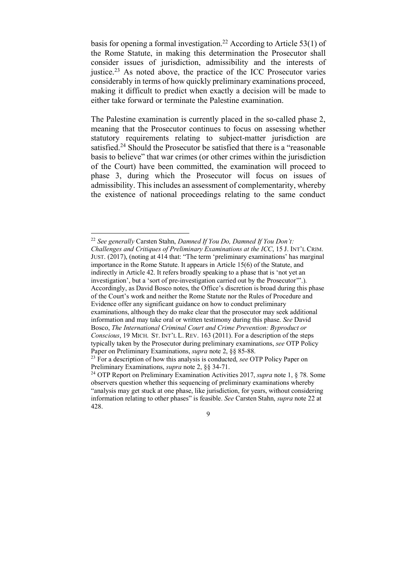basis for opening a formal investigation.<sup>22</sup> According to Article 53(1) of the Rome Statute, in making this determination the Prosecutor shall consider issues of jurisdiction, admissibility and the interests of justice.<sup>23</sup> As noted above, the practice of the ICC Prosecutor varies considerably in terms of how quickly preliminary examinations proceed, making it difficult to predict when exactly a decision will be made to either take forward or terminate the Palestine examination.

The Palestine examination is currently placed in the so-called phase 2, meaning that the Prosecutor continues to focus on assessing whether statutory requirements relating to subject-matter jurisdiction are satisfied.<sup>24</sup> Should the Prosecutor be satisfied that there is a "reasonable" basis to believe" that war crimes (or other crimes within the jurisdiction of the Court) have been committed, the examination will proceed to phase 3, during which the Prosecutor will focus on issues of admissibility. This includes an assessment of complementarity, whereby the existence of national proceedings relating to the same conduct

 <sup>22</sup> *See generally* Carsten Stahn, *Damned If You Do, Damned If You Don't: Challenges and Critiques of Preliminary Examinations at the ICC*, 15 J. INT'L CRIM. JUST. (2017), (noting at 414 that: "The term 'preliminary examinations' has marginal importance in the Rome Statute. It appears in Article 15(6) of the Statute, and indirectly in Article 42. It refers broadly speaking to a phase that is 'not yet an investigation', but a 'sort of pre-investigation carried out by the Prosecutor'".). Accordingly, as David Bosco notes, the Office's discretion is broad during this phase of the Court's work and neither the Rome Statute nor the Rules of Procedure and Evidence offer any significant guidance on how to conduct preliminary examinations, although they do make clear that the prosecutor may seek additional information and may take oral or written testimony during this phase. *See* David Bosco, *The International Criminal Court and Crime Prevention: Byproduct or Conscious*, 19 MICH. ST. INT'L L. REV. 163 (2011). For a description of the steps typically taken by the Prosecutor during preliminary examinations, *see* OTP Policy Paper on Preliminary Examinations, *supra* note 2, §§ 85-88.

<sup>&</sup>lt;sup>23</sup> For a description of how this analysis is conducted, *see* OTP Policy Paper on Preliminary Examinations, *supra* note 2, §§ 34-71.

<sup>24</sup> OTP Report on Preliminary Examination Activities 2017, *supra* note 1, § 78. Some observers question whether this sequencing of preliminary examinations whereby "analysis may get stuck at one phase, like jurisdiction, for years, without considering information relating to other phases" is feasible. *See* Carsten Stahn, *supra* note 22 at 428.

<sup>9</sup>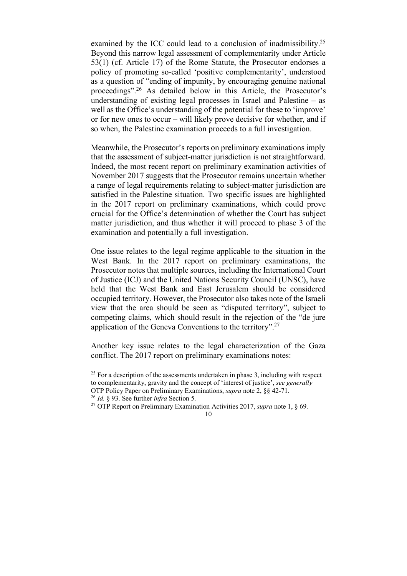examined by the ICC could lead to a conclusion of inadmissibility.<sup>25</sup> Beyond this narrow legal assessment of complementarity under Article 53(1) (cf. Article 17) of the Rome Statute, the Prosecutor endorses a policy of promoting so-called 'positive complementarity', understood as a question of "ending of impunity, by encouraging genuine national proceedings".26 As detailed below in this Article, the Prosecutor's understanding of existing legal processes in Israel and Palestine – as well as the Office's understanding of the potential for these to 'improve' or for new ones to occur – will likely prove decisive for whether, and if so when, the Palestine examination proceeds to a full investigation.

Meanwhile, the Prosecutor's reports on preliminary examinations imply that the assessment of subject-matter jurisdiction is not straightforward. Indeed, the most recent report on preliminary examination activities of November 2017 suggests that the Prosecutor remains uncertain whether a range of legal requirements relating to subject-matter jurisdiction are satisfied in the Palestine situation. Two specific issues are highlighted in the 2017 report on preliminary examinations, which could prove crucial for the Office's determination of whether the Court has subject matter jurisdiction, and thus whether it will proceed to phase 3 of the examination and potentially a full investigation.

One issue relates to the legal regime applicable to the situation in the West Bank. In the 2017 report on preliminary examinations, the Prosecutor notes that multiple sources, including the International Court of Justice (ICJ) and the United Nations Security Council (UNSC), have held that the West Bank and East Jerusalem should be considered occupied territory. However, the Prosecutor also takes note of the Israeli view that the area should be seen as "disputed territory", subject to competing claims, which should result in the rejection of the "de jure application of the Geneva Conventions to the territory".27

Another key issue relates to the legal characterization of the Gaza conflict. The 2017 report on preliminary examinations notes:

 $25$  For a description of the assessments undertaken in phase 3, including with respect to complementarity, gravity and the concept of 'interest of justice', *see generally* OTP Policy Paper on Preliminary Examinations, *supra* note 2, §§ 42-71. 26 *Id.* § 93. See further *infra* Section 5.

<sup>27</sup> OTP Report on Preliminary Examination Activities 2017, *supra* note 1, § 69.

<sup>10</sup>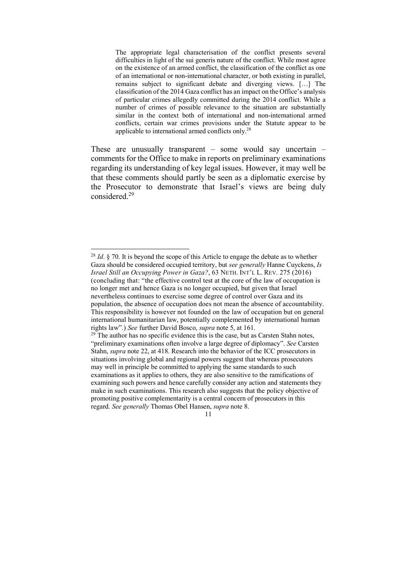The appropriate legal characterisation of the conflict presents several difficulties in light of the sui generis nature of the conflict. While most agree on the existence of an armed conflict, the classification of the conflict as one of an international or non-international character, or both existing in parallel, remains subject to significant debate and diverging views. […] The classification of the 2014 Gaza conflict has an impact on the Office's analysis of particular crimes allegedly committed during the 2014 conflict. While a number of crimes of possible relevance to the situation are substantially similar in the context both of international and non-international armed conflicts, certain war crimes provisions under the Statute appear to be applicable to international armed conflicts only.28

These are unusually transparent – some would say uncertain – comments for the Office to make in reports on preliminary examinations regarding its understanding of key legal issues. However, it may well be that these comments should partly be seen as a diplomatic exercise by the Prosecutor to demonstrate that Israel's views are being duly considered<sup>29</sup>

 <sup>28</sup> *Id*. § 70. It is beyond the scope of this Article to engage the debate as to whether Gaza should be considered occupied territory, but *see generally* Hanne Cuyckens, *Is Israel Still an Occupying Power in Gaza?*, 63 NETH. INT'L L. REV. 275 (2016) (concluding that: "the effective control test at the core of the law of occupation is no longer met and hence Gaza is no longer occupied, but given that Israel nevertheless continues to exercise some degree of control over Gaza and its population, the absence of occupation does not mean the absence of accountability. This responsibility is however not founded on the law of occupation but on general international humanitarian law, potentially complemented by international human rights law".) *See* further David Bosco, *supra* note 5, at 161.

 $29$ <sup>29</sup> The author has no specific evidence this is the case, but as Carsten Stahn notes, "preliminary examinations often involve a large degree of diplomacy". *See* Carsten Stahn, *supra* note 22, at 418. Research into the behavior of the ICC prosecutors in situations involving global and regional powers suggest that whereas prosecutors may well in principle be committed to applying the same standards to such examinations as it applies to others, they are also sensitive to the ramifications of examining such powers and hence carefully consider any action and statements they make in such examinations. This research also suggests that the policy objective of promoting positive complementarity is a central concern of prosecutors in this regard. *See generally* Thomas Obel Hansen, *supra* note 8.

<sup>11</sup>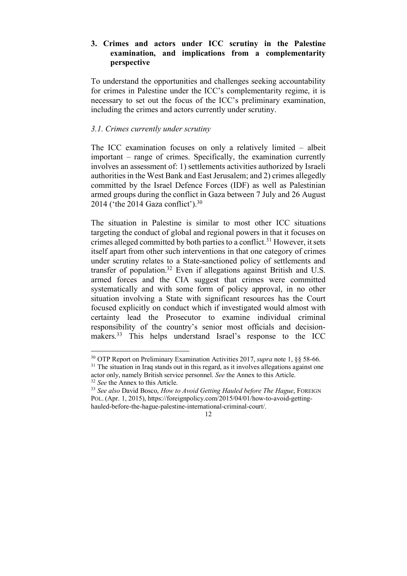# **3. Crimes and actors under ICC scrutiny in the Palestine examination, and implications from a complementarity perspective**

To understand the opportunities and challenges seeking accountability for crimes in Palestine under the ICC's complementarity regime, it is necessary to set out the focus of the ICC's preliminary examination, including the crimes and actors currently under scrutiny.

## *3.1. Crimes currently under scrutiny*

The ICC examination focuses on only a relatively limited – albeit important – range of crimes. Specifically, the examination currently involves an assessment of: 1) settlements activities authorized by Israeli authorities in the West Bank and East Jerusalem; and 2) crimes allegedly committed by the Israel Defence Forces (IDF) as well as Palestinian armed groups during the conflict in Gaza between 7 July and 26 August 2014 ('the 2014 Gaza conflict').30

The situation in Palestine is similar to most other ICC situations targeting the conduct of global and regional powers in that it focuses on crimes alleged committed by both parties to a conflict.<sup>31</sup> However, it sets itself apart from other such interventions in that one category of crimes under scrutiny relates to a State-sanctioned policy of settlements and transfer of population.32 Even if allegations against British and U.S. armed forces and the CIA suggest that crimes were committed systematically and with some form of policy approval, in no other situation involving a State with significant resources has the Court focused explicitly on conduct which if investigated would almost with certainty lead the Prosecutor to examine individual criminal responsibility of the country's senior most officials and decisionmakers.<sup>33</sup> This helps understand Israel's response to the ICC

 <sup>30</sup> OTP Report on Preliminary Examination Activities 2017, *supra* note 1, §§ 58-66.

<sup>&</sup>lt;sup>31</sup> The situation in Iraq stands out in this regard, as it involves allegations against one actor only, namely British service personnel. *See* the Annex to this Article.

<sup>32</sup> *See* the Annex to this Article.

<sup>33</sup> *See also* David Bosco, *How to Avoid Getting Hauled before The Hague*, FOREIGN POL. (Apr. 1, 2015), https://foreignpolicy.com/2015/04/01/how-to-avoid-gettinghauled-before-the-hague-palestine-international-criminal-court/.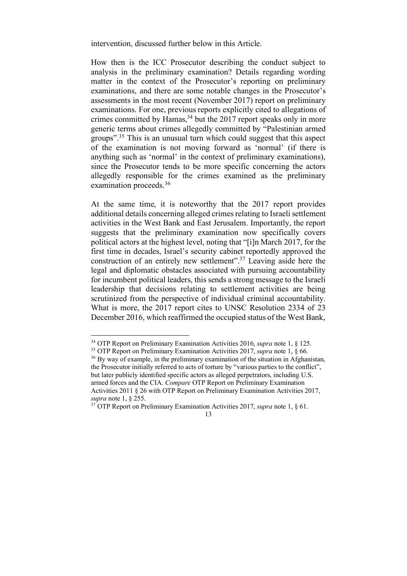intervention, discussed further below in this Article.

How then is the ICC Prosecutor describing the conduct subject to analysis in the preliminary examination? Details regarding wording matter in the context of the Prosecutor's reporting on preliminary examinations, and there are some notable changes in the Prosecutor's assessments in the most recent (November 2017) report on preliminary examinations. For one, previous reports explicitly cited to allegations of crimes committed by Hamas,  $34$  but the 2017 report speaks only in more generic terms about crimes allegedly committed by "Palestinian armed groups". <sup>35</sup> This is an unusual turn which could suggest that this aspect of the examination is not moving forward as 'normal' (if there is anything such as 'normal' in the context of preliminary examinations), since the Prosecutor tends to be more specific concerning the actors allegedly responsible for the crimes examined as the preliminary examination proceeds.<sup>36</sup>

At the same time, it is noteworthy that the 2017 report provides additional details concerning alleged crimes relating to Israeli settlement activities in the West Bank and East Jerusalem. Importantly, the report suggests that the preliminary examination now specifically covers political actors at the highest level, noting that "[i]n March 2017, for the first time in decades, Israel's security cabinet reportedly approved the construction of an entirely new settlement".37 Leaving aside here the legal and diplomatic obstacles associated with pursuing accountability for incumbent political leaders, this sends a strong message to the Israeli leadership that decisions relating to settlement activities are being scrutinized from the perspective of individual criminal accountability. What is more, the 2017 report cites to UNSC Resolution 2334 of 23 December 2016, which reaffirmed the occupied status of the West Bank,

 <sup>34</sup> OTP Report on Preliminary Examination Activities 2016, *supra* note 1, § 125.

<sup>35</sup> OTP Report on Preliminary Examination Activities 2017, *supra* note 1, § 66.

<sup>&</sup>lt;sup>36</sup> By way of example, in the preliminary examination of the situation in Afghanistan, the Prosecutor initially referred to acts of torture by "various parties to the conflict", but later publicly identified specific actors as alleged perpetrators, including U.S. armed forces and the CIA. *Compare* OTP Report on Preliminary Examination Activities 2011 § 26 with OTP Report on Preliminary Examination Activities 2017, *supra* note 1, § 255.

<sup>37</sup> OTP Report on Preliminary Examination Activities 2017, *supra* note 1, § 61.

<sup>13</sup>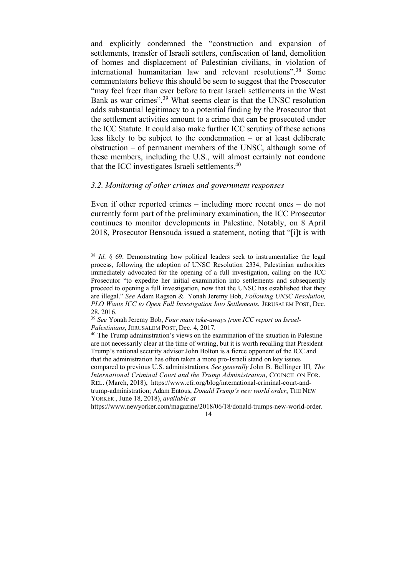and explicitly condemned the "construction and expansion of settlements, transfer of Israeli settlers, confiscation of land, demolition of homes and displacement of Palestinian civilians, in violation of international humanitarian law and relevant resolutions".38 Some commentators believe this should be seen to suggest that the Prosecutor "may feel freer than ever before to treat Israeli settlements in the West Bank as war crimes".39 What seems clear is that the UNSC resolution adds substantial legitimacy to a potential finding by the Prosecutor that the settlement activities amount to a crime that can be prosecuted under the ICC Statute. It could also make further ICC scrutiny of these actions less likely to be subject to the condemnation – or at least deliberate obstruction – of permanent members of the UNSC, although some of these members, including the U.S., will almost certainly not condone that the ICC investigates Israeli settlements.40

# *3.2. Monitoring of other crimes and government responses*

Even if other reported crimes – including more recent ones – do not currently form part of the preliminary examination, the ICC Prosecutor continues to monitor developments in Palestine. Notably, on 8 April 2018, Prosecutor Bensouda issued a statement, noting that "[i]t is with

<sup>&</sup>lt;sup>38</sup> *Id.* § 69. Demonstrating how political leaders seek to instrumentalize the legal process, following the adoption of UNSC Resolution 2334, Palestinian authorities immediately advocated for the opening of a full investigation, calling on the ICC Prosecutor "to expedite her initial examination into settlements and subsequently proceed to opening a full investigation, now that the UNSC has established that they are illegal." *See* Adam Ragson & Yonah Jeremy Bob, *Following UNSC Resolution, PLO Wants ICC to Open Full Investigation Into Settlements*, JERUSALEM POST, Dec. 28, 2016.

<sup>39</sup> *See* Yonah Jeremy Bob, *Four main take-aways from ICC report on Israel-Palestinians*, JERUSALEM POST, Dec. 4, 2017.

 $40$  The Trump administration's views on the examination of the situation in Palestine are not necessarily clear at the time of writing, but it is worth recalling that President Trump's national security advisor John Bolton is a fierce opponent of the ICC and that the administration has often taken a more pro-Israeli stand on key issues compared to previous U.S. administrations. *See generally* John B. Bellinger III*, The International Criminal Court and the Trump Administration*, COUNCIL ON FOR. REL. (March, 2018), https://www.cfr.org/blog/international-criminal-court-andtrump-administration; Adam Entous, *Donald Trump's new world order*, THE NEW YORKER , June 18, 2018), *available at*

https://www.newyorker.com/magazine/2018/06/18/donald-trumps-new-world-order.

<sup>14</sup>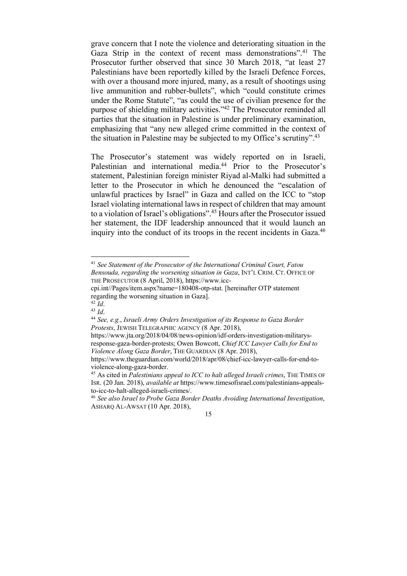grave concern that I note the violence and deteriorating situation in the Gaza Strip in the context of recent mass demonstrations".<sup>41</sup> The Prosecutor further observed that since 30 March 2018, "at least 27 Palestinians have been reportedly killed by the Israeli Defence Forces, with over a thousand more injured, many, as a result of shootings using live ammunition and rubber-bullets", which "could constitute crimes under the Rome Statute", "as could the use of civilian presence for the purpose of shielding military activities."42 The Prosecutor reminded all parties that the situation in Palestine is under preliminary examination, emphasizing that "any new alleged crime committed in the context of the situation in Palestine may be subjected to my Office's scrutiny".43

The Prosecutor's statement was widely reported on in Israeli, Palestinian and international media.<sup>44</sup> Prior to the Prosecutor's statement, Palestinian foreign minister Riyad al-Malki had submitted a letter to the Prosecutor in which he denounced the "escalation of unlawful practices by Israel" in Gaza and called on the ICC to "stop Israel violating international laws in respect of children that may amount to a violation of Israel's obligations".45 Hours after the Prosecutor issued her statement, the IDF leadership announced that it would launch an inquiry into the conduct of its troops in the recent incidents in Gaza.<sup>46</sup>

 $42\overline{Id}$ .

 <sup>41</sup> *See Statement of the Prosecutor of the International Criminal Court, Fatou Bensouda, regarding the worsening situation in Gaza*, INT'L CRIM. CT. OFFICE OF THE PROSECUTOR (8 April, 2018), https://www.icc-

cpi.int//Pages/item.aspx?name=180408-otp-stat. [hereinafter OTP statement regarding the worsening situation in Gaza].

<sup>43</sup> *Id*.

<sup>44</sup> *See, e.g.*, *Israeli Army Orders Investigation of its Response to Gaza Border Protests*, JEWISH TELEGRAPHIC AGENCY (8 Apr. 2018),

https://www.jta.org/2018/04/08/news-opinion/idf-orders-investigation-militarysresponse-gaza-border-protests; Owen Bowcott, *Chief ICC Lawyer Calls for End to Violence Along Gaza Border*, THE GUARDIAN (8 Apr. 2018),

https://www.theguardian.com/world/2018/apr/08/chief-icc-lawyer-calls-for-end-toviolence-along-gaza-border.

<sup>45</sup> As cited in *Palestinians appeal to ICC to halt alleged Israeli crimes*, THE TIMES OF ISR. (20 Jan. 2018), *available at* https://www.timesofisrael.com/palestinians-appealsto-icc-to-halt-alleged-israeli-crimes/.

<sup>46</sup> *See also Israel to Probe Gaza Border Deaths Avoiding International Investigation*, ASHARQ AL-AWSAT (10 Apr. 2018),

<sup>15</sup>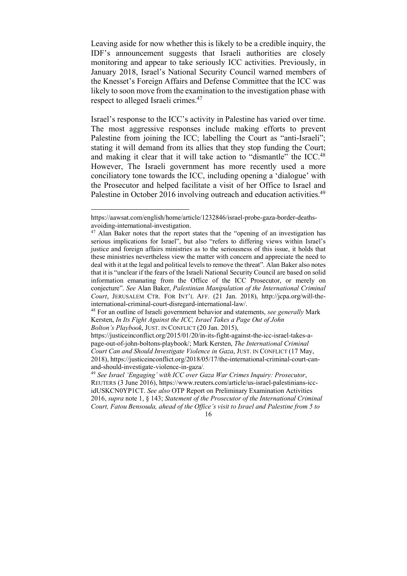Leaving aside for now whether this is likely to be a credible inquiry, the IDF's announcement suggests that Israeli authorities are closely monitoring and appear to take seriously ICC activities. Previously, in January 2018, Israel's National Security Council warned members of the Knesset's Foreign Affairs and Defense Committee that the ICC was likely to soon move from the examination to the investigation phase with respect to alleged Israeli crimes.47

Israel's response to the ICC's activity in Palestine has varied over time. The most aggressive responses include making efforts to prevent Palestine from joining the ICC; labelling the Court as "anti-Israeli"; stating it will demand from its allies that they stop funding the Court; and making it clear that it will take action to "dismantle" the ICC.<sup>48</sup> However, The Israeli government has more recently used a more conciliatory tone towards the ICC, including opening a 'dialogue' with the Prosecutor and helped facilitate a visit of her Office to Israel and Palestine in October 2016 involving outreach and education activities.<sup>49</sup>

 $\overline{a}$ 

https://justiceinconflict.org/2015/01/20/in-its-fight-against-the-icc-israel-takes-apage-out-of-john-boltons-playbook/; Mark Kersten, *The International Criminal Court Can and Should Investigate Violence in Gaza*, JUST. IN CONFLICT (17 May,

https://aawsat.com/english/home/article/1232846/israel-probe-gaza-border-deathsavoiding-international-investigation.

<sup>&</sup>lt;sup>47</sup> Alan Baker notes that the report states that the "opening of an investigation has serious implications for Israel", but also "refers to differing views within Israel's justice and foreign affairs ministries as to the seriousness of this issue, it holds that these ministries nevertheless view the matter with concern and appreciate the need to deal with it at the legal and political levels to remove the threat". Alan Baker also notes that it is "unclear if the fears of the Israeli National Security Council are based on solid information emanating from the Office of the ICC Prosecutor, or merely on conjecture". *See* Alan Baker, *Palestinian Manipulation of the International Criminal Court*, JERUSALEM CTR. FOR INT'L AFF. (21 Jan. 2018), http://jcpa.org/will-theinternational-criminal-court-disregard-international-law/. 48 For an outline of Israeli government behavior and statements, *see generally* Mark

Kersten, *In Its Fight Against the ICC, Israel Takes a Page Out of John Bolton's Playbook*, JUST. IN CONFLICT (20 Jan. 2015),

<sup>2018),</sup> https://justiceinconflict.org/2018/05/17/the-international-criminal-court-canand-should-investigate-violence-in-gaza/*.* 

<sup>49</sup> *See Israel 'Engaging' with ICC over Gaza War Crimes Inquiry: Prosecutor*, REUTERS (3 June 2016), https://www.reuters.com/article/us-israel-palestinians-iccidUSKCN0YP1CT. *See also* OTP Report on Preliminary Examination Activities 2016, *supra* note 1, § 143; *Statement of the Prosecutor of the International Criminal Court, Fatou Bensouda, ahead of the Office's visit to Israel and Palestine from 5 to*

<sup>16</sup>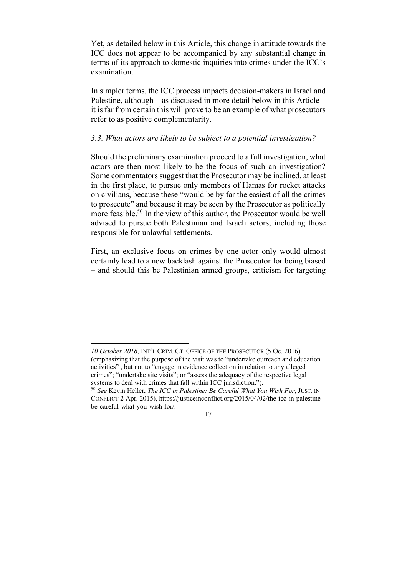Yet, as detailed below in this Article, this change in attitude towards the ICC does not appear to be accompanied by any substantial change in terms of its approach to domestic inquiries into crimes under the ICC's examination.

In simpler terms, the ICC process impacts decision-makers in Israel and Palestine, although – as discussed in more detail below in this Article – it is far from certain this will prove to be an example of what prosecutors refer to as positive complementarity.

#### *3.3. What actors are likely to be subject to a potential investigation?*

Should the preliminary examination proceed to a full investigation, what actors are then most likely to be the focus of such an investigation? Some commentators suggest that the Prosecutor may be inclined, at least in the first place, to pursue only members of Hamas for rocket attacks on civilians, because these "would be by far the easiest of all the crimes to prosecute" and because it may be seen by the Prosecutor as politically more feasible.<sup>50</sup> In the view of this author, the Prosecutor would be well advised to pursue both Palestinian and Israeli actors, including those responsible for unlawful settlements.

First, an exclusive focus on crimes by one actor only would almost certainly lead to a new backlash against the Prosecutor for being biased – and should this be Palestinian armed groups, criticism for targeting

*10 October 2016*, INT'L CRIM. CT. OFFICE OF THE PROSECUTOR (5 Oc. 2016) (emphasizing that the purpose of the visit was to "undertake outreach and education activities" , but not to "engage in evidence collection in relation to any alleged crimes"; "undertake site visits"; or "assess the adequacy of the respective legal systems to deal with crimes that fall within ICC jurisdiction.").

<sup>50</sup> *See* Kevin Heller, *The ICC in Palestine: Be Careful What You Wish For*, JUST. IN CONFLICT 2 Apr. 2015), https://justiceinconflict.org/2015/04/02/the-icc-in-palestinebe-careful-what-you-wish-for/.

<sup>17</sup>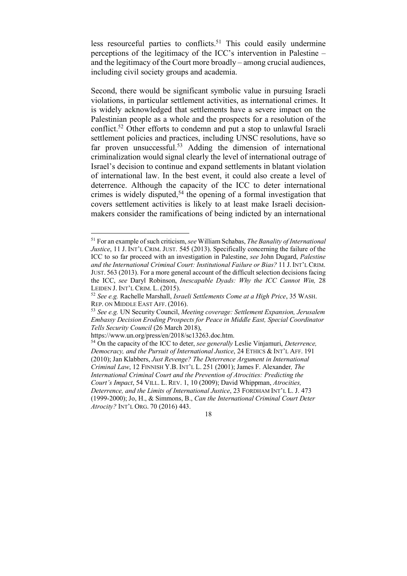less resourceful parties to conflicts.<sup>51</sup> This could easily undermine perceptions of the legitimacy of the ICC's intervention in Palestine – and the legitimacy of the Court more broadly – among crucial audiences, including civil society groups and academia.

Second, there would be significant symbolic value in pursuing Israeli violations, in particular settlement activities, as international crimes. It is widely acknowledged that settlements have a severe impact on the Palestinian people as a whole and the prospects for a resolution of the conflict.52 Other efforts to condemn and put a stop to unlawful Israeli settlement policies and practices, including UNSC resolutions, have so far proven unsuccessful.<sup>53</sup> Adding the dimension of international criminalization would signal clearly the level of international outrage of Israel's decision to continue and expand settlements in blatant violation of international law. In the best event, it could also create a level of deterrence. Although the capacity of the ICC to deter international crimes is widely disputed,<sup>54</sup> the opening of a formal investigation that covers settlement activities is likely to at least make Israeli decisionmakers consider the ramifications of being indicted by an international

 <sup>51</sup> For an example of such criticism, *see* William Schabas, *The Banality of International Justice*, 11 J. INT'L CRIM. JUST. 545 (2013). Specifically concerning the failure of the ICC to so far proceed with an investigation in Palestine, *see* John Dugard, *Palestine and the International Criminal Court: Institutional Failure or Bias?* 11 J. INT'L CRIM. JUST. 563 (2013). For a more general account of the difficult selection decisions facing the ICC, *see* Daryl Robinson, *Inescapable Dyads: Why the ICC Cannot Win,* 28 LEIDEN J. INT'L CRIM. L. (2015).

<sup>52</sup> *See e.g.* Rachelle Marshall, *Israeli Settlements Come at a High Price*, 35 WASH. REP. ON MIDDLE EAST AFF. (2016).

<sup>53</sup> *See e.g.* UN Security Council, *Meeting coverage: Settlement Expansion, Jerusalem Embassy Decision Eroding Prospects for Peace in Middle East, Special Coordinator Tells Security Council* (26 March 2018),

https://www.un.org/press/en/2018/sc13263.doc.htm.

<sup>54</sup> On the capacity of the ICC to deter, *see generally* Leslie Vinjamuri, *Deterrence, Democracy, and the Pursuit of International Justice*, 24 ETHICS & INT'L AFF. 191 (2010); Jan Klabbers, *Just Revenge? The Deterrence Argument in International Criminal Law*, 12 FINNISH Y.B. INT'L L. 251 (2001); James F. Alexander*, The International Criminal Court and the Prevention of Atrocities: Predicting the Court's Impact*, 54 VILL. L. REV. 1, 10 (2009); David Whippman, *Atrocities, Deterrence, and the Limits of International Justice*, 23 FORDHAM INT'L L. J. 473 (1999-2000); Jo, H., & Simmons, B., *Can the International Criminal Court Deter Atrocity?* INT'L ORG. 70 (2016) 443.

<sup>18</sup>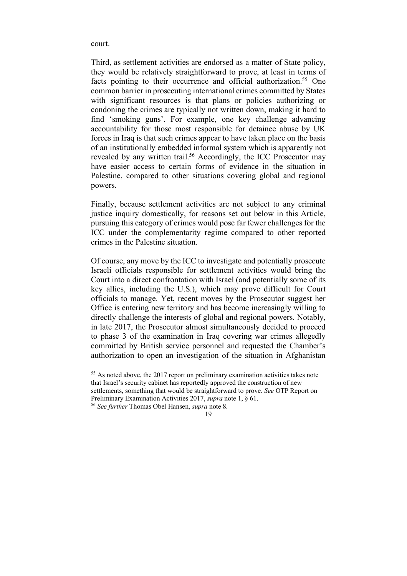court.

Third, as settlement activities are endorsed as a matter of State policy, they would be relatively straightforward to prove, at least in terms of facts pointing to their occurrence and official authorization.<sup>55</sup> One common barrier in prosecuting international crimes committed by States with significant resources is that plans or policies authorizing or condoning the crimes are typically not written down, making it hard to find 'smoking guns'. For example, one key challenge advancing accountability for those most responsible for detainee abuse by UK forces in Iraq is that such crimes appear to have taken place on the basis of an institutionally embedded informal system which is apparently not revealed by any written trail.<sup>56</sup> Accordingly, the ICC Prosecutor may have easier access to certain forms of evidence in the situation in Palestine, compared to other situations covering global and regional powers.

Finally, because settlement activities are not subject to any criminal justice inquiry domestically, for reasons set out below in this Article, pursuing this category of crimes would pose far fewer challenges for the ICC under the complementarity regime compared to other reported crimes in the Palestine situation.

Of course, any move by the ICC to investigate and potentially prosecute Israeli officials responsible for settlement activities would bring the Court into a direct confrontation with Israel (and potentially some of its key allies, including the U.S.), which may prove difficult for Court officials to manage. Yet, recent moves by the Prosecutor suggest her Office is entering new territory and has become increasingly willing to directly challenge the interests of global and regional powers. Notably, in late 2017, the Prosecutor almost simultaneously decided to proceed to phase 3 of the examination in Iraq covering war crimes allegedly committed by British service personnel and requested the Chamber's authorization to open an investigation of the situation in Afghanistan

<sup>&</sup>lt;sup>55</sup> As noted above, the 2017 report on preliminary examination activities takes note that Israel's security cabinet has reportedly approved the construction of new settlements, something that would be straightforward to prove. *See* OTP Report on Preliminary Examination Activities 2017, *supra* note 1, § 61. <sup>56</sup> *See further* Thomas Obel Hansen, *supra* note 8.

<sup>19</sup>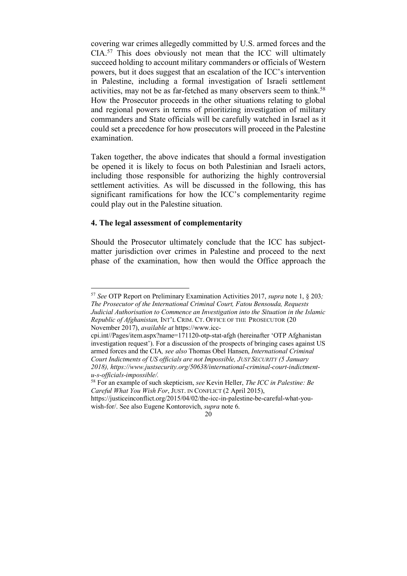covering war crimes allegedly committed by U.S. armed forces and the CIA.57 This does obviously not mean that the ICC will ultimately succeed holding to account military commanders or officials of Western powers, but it does suggest that an escalation of the ICC's intervention in Palestine, including a formal investigation of Israeli settlement activities, may not be as far-fetched as many observers seem to think.<sup>58</sup> How the Prosecutor proceeds in the other situations relating to global and regional powers in terms of prioritizing investigation of military commanders and State officials will be carefully watched in Israel as it could set a precedence for how prosecutors will proceed in the Palestine examination.

Taken together, the above indicates that should a formal investigation be opened it is likely to focus on both Palestinian and Israeli actors, including those responsible for authorizing the highly controversial settlement activities. As will be discussed in the following, this has significant ramifications for how the ICC's complementarity regime could play out in the Palestine situation.

### **4. The legal assessment of complementarity**

Should the Prosecutor ultimately conclude that the ICC has subjectmatter jurisdiction over crimes in Palestine and proceed to the next phase of the examination, how then would the Office approach the

<sup>58</sup> For an example of such skepticism, *see* Kevin Heller, *The ICC in Palestine: Be Careful What You Wish For*, JUST. IN CONFLICT (2 April 2015),

https://justiceinconflict.org/2015/04/02/the-icc-in-palestine-be-careful-what-youwish-for/. See also Eugene Kontorovich, *supra* note 6.

 <sup>57</sup> *See* OTP Report on Preliminary Examination Activities 2017, *supra* note 1, § 203*; The Prosecutor of the International Criminal Court, Fatou Bensouda, Requests Judicial Authorisation to Commence an Investigation into the Situation in the Islamic Republic of Afghanistan,* INT'L CRIM. CT. OFFICE OF THE PROSECUTOR (20 November 2017), *available at* https://www.icc-

cpi.int//Pages/item.aspx?name=171120-otp-stat-afgh (hereinafter 'OTP Afghanistan investigation request'). For a discussion of the prospects of bringing cases against US armed forces and the CIA*, see also* Thomas Obel Hansen, *International Criminal Court Indictments of US officials are not Impossible, JUST SECURITY (5 January 2018), https://www.justsecurity.org/50638/international-criminal-court-indictmentu-s-officials-impossible/.* 

<sup>20</sup>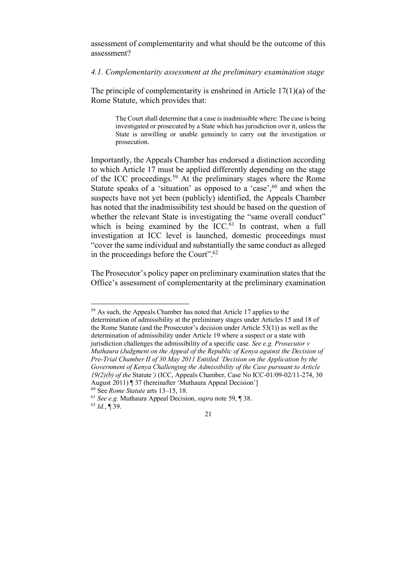assessment of complementarity and what should be the outcome of this assessment?

#### *4.1. Complementarity assessment at the preliminary examination stage*

The principle of complementarity is enshrined in Article  $17(1)(a)$  of the Rome Statute, which provides that:

> The Court shall determine that a case is inadmissible where: The case is being investigated or prosecuted by a State which has jurisdiction over it, unless the State is unwilling or unable genuinely to carry out the investigation or prosecution.

Importantly, the Appeals Chamber has endorsed a distinction according to which Article 17 must be applied differently depending on the stage of the ICC proceedings.59 At the preliminary stages where the Rome Statute speaks of a 'situation' as opposed to a 'case',<sup>60</sup> and when the suspects have not yet been (publicly) identified, the Appeals Chamber has noted that the inadmissibility test should be based on the question of whether the relevant State is investigating the "same overall conduct" which is being examined by the  $ICC.^{61}$  In contrast, when a full investigation at ICC level is launched, domestic proceedings must "cover the same individual and substantially the same conduct as alleged in the proceedings before the Court". 62

The Prosecutor's policy paper on preliminary examination states that the Office's assessment of complementarity at the preliminary examination

 59 As such, the Appeals Chamber has noted that Article <sup>17</sup> applies to the determination of admissibility at the preliminary stages under Articles 15 and 18 of the Rome Statute (and the Prosecutor's decision under Article 53(1)) as well as the determination of admissibility under Article 19 where a suspect or a state with jurisdiction challenges the admissibility of a specific case. *See e.g. Prosecutor v Muthaura (Judgment on the Appeal of the Republic of Kenya against the Decision of Pre-Trial Chamber II of 30 May 2011 Entitled 'Decision on the Application by the Government of Kenya Challenging the Admissibility of the Case pursuant to Article 19(2)(b) of the* Statute*')* (ICC, Appeals Chamber, Case No ICC-01/09-02/11-274, 30

August 2011) ¶ 37 (hereinafter 'Muthaura Appeal Decision'] <sup>60</sup> See *Rome Statute* arts 13–15, 18.

<sup>&</sup>lt;sup>61</sup> See *e.g.* Muthaura Appeal Decision, *supra* note 59, ¶ 38.

 $62$  *Id.*,  $\sqrt{ }$  39.

<sup>21</sup>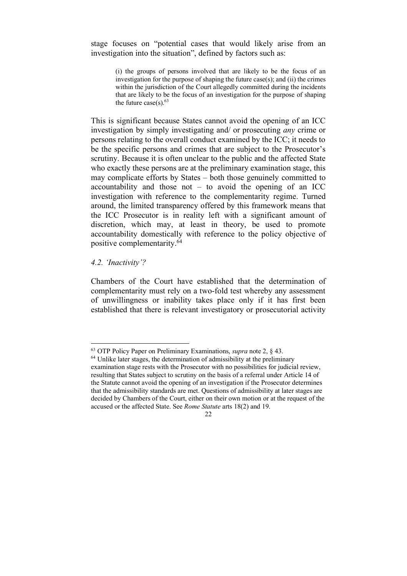stage focuses on "potential cases that would likely arise from an investigation into the situation", defined by factors such as:

> (i) the groups of persons involved that are likely to be the focus of an investigation for the purpose of shaping the future case(s); and (ii) the crimes within the jurisdiction of the Court allegedly committed during the incidents that are likely to be the focus of an investigation for the purpose of shaping the future  $case(s)$ .<sup>63</sup>

This is significant because States cannot avoid the opening of an ICC investigation by simply investigating and/ or prosecuting *any* crime or persons relating to the overall conduct examined by the ICC; it needs to be the specific persons and crimes that are subject to the Prosecutor's scrutiny. Because it is often unclear to the public and the affected State who exactly these persons are at the preliminary examination stage, this may complicate efforts by States – both those genuinely committed to accountability and those not  $-$  to avoid the opening of an ICC investigation with reference to the complementarity regime. Turned around, the limited transparency offered by this framework means that the ICC Prosecutor is in reality left with a significant amount of discretion, which may, at least in theory, be used to promote accountability domestically with reference to the policy objective of positive complementarity.64

#### *4.2. 'Inactivity'?*

Chambers of the Court have established that the determination of complementarity must rely on a two-fold test whereby any assessment of unwillingness or inability takes place only if it has first been established that there is relevant investigatory or prosecutorial activity

 <sup>63</sup> OTP Policy Paper on Preliminary Examinations, *supra* note 2, § 43.

<sup>&</sup>lt;sup>64</sup> Unlike later stages, the determination of admissibility at the preliminary examination stage rests with the Prosecutor with no possibilities for judicial review, resulting that States subject to scrutiny on the basis of a referral under Article 14 of the Statute cannot avoid the opening of an investigation if the Prosecutor determines that the admissibility standards are met. Questions of admissibility at later stages are decided by Chambers of the Court, either on their own motion or at the request of the accused or the affected State. See *Rome Statute* arts 18(2) and 19.

<sup>22</sup>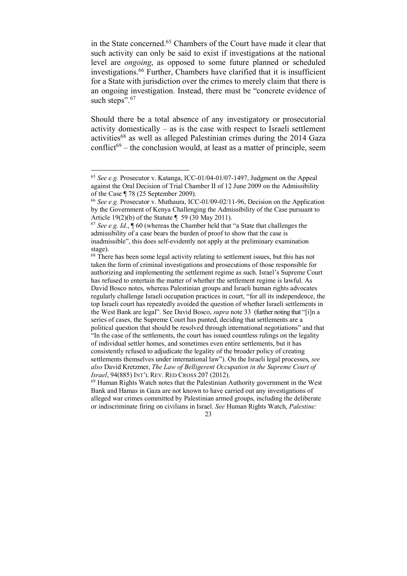in the State concerned.65 Chambers of the Court have made it clear that such activity can only be said to exist if investigations at the national level are *ongoing*, as opposed to some future planned or scheduled investigations.66 Further, Chambers have clarified that it is insufficient for a State with jurisdiction over the crimes to merely claim that there is an ongoing investigation. Instead, there must be "concrete evidence of such steps".<sup>67</sup>

Should there be a total absence of any investigatory or prosecutorial activity domestically – as is the case with respect to Israeli settlement activities<sup>68</sup> as well as alleged Palestinian crimes during the 2014 Gaza conflict<sup>69</sup> – the conclusion would, at least as a matter of principle, seem

 <sup>65</sup> *See e.g.* Prosecutor v. Katanga, ICC-01/04-01/07-1497, Judgment on the Appeal against the Oral Decision of Trial Chamber II of 12 June 2009 on the Admissibility of the Case ¶ 78 (25 September 2009).

<sup>66</sup> *See e.g.* Prosecutor v. Muthaura, ICC-01/09-02/11-96, Decision on the Application by the Government of Kenya Challenging the Admissibility of the Case pursuant to Article 19(2)(b) of the Statute ¶ 59 (30 May 2011).

<sup>67</sup> *See e.g. Id*., ¶ 60 (whereas the Chamber held that "a State that challenges the admissibility of a case bears the burden of proof to show that the case is inadmissible", this does self-evidently not apply at the preliminary examination stage).

<sup>&</sup>lt;sup>68</sup> There has been some legal activity relating to settlement issues, but this has not taken the form of criminal investigations and prosecutions of those responsible for authorizing and implementing the settlement regime as such. Israel's Supreme Court has refused to entertain the matter of whether the settlement regime is lawful. As David Bosco notes, whereas Palestinian groups and Israeli human rights advocates regularly challenge Israeli occupation practices in court, "for all its independence, the top Israeli court has repeatedly avoided the question of whether Israeli settlements in the West Bank are legal". See David Bosco, *supra* note 33 (further noting that "[i]n a series of cases, the Supreme Court has punted, deciding that settlements are a political question that should be resolved through international negotiations" and that In the case of the settlements, the court has issued countless rulings on the legality of individual settler homes, and sometimes even entire settlements, but it has consistently refused to adjudicate the legality of the broader policy of creating settlements themselves under international law"). On the Israeli legal processes, *see also* David Kretzmer, *The Law of Belligerent Occupation in the Supreme Court of Israel*, 94(885) INT'L REV. RED CROSS 207 (2012).<br><sup>69</sup> Human Rights Watch notes that the Palestinian Authority government in the West

Bank and Hamas in Gaza are not known to have carried out any investigations of alleged war crimes committed by Palestinian armed groups, including the deliberate or indiscriminate firing on civilians in Israel. *See* Human Rights Watch, *Palestine:*

<sup>23</sup>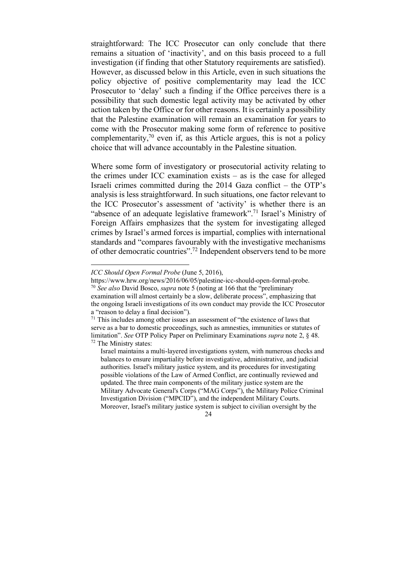straightforward: The ICC Prosecutor can only conclude that there remains a situation of 'inactivity', and on this basis proceed to a full investigation (if finding that other Statutory requirements are satisfied). However, as discussed below in this Article, even in such situations the policy objective of positive complementarity may lead the ICC Prosecutor to 'delay' such a finding if the Office perceives there is a possibility that such domestic legal activity may be activated by other action taken by the Office or for other reasons. It is certainly a possibility that the Palestine examination will remain an examination for years to come with the Prosecutor making some form of reference to positive complementarity, $70$  even if, as this Article argues, this is not a policy choice that will advance accountably in the Palestine situation.

Where some form of investigatory or prosecutorial activity relating to the crimes under ICC examination exists – as is the case for alleged Israeli crimes committed during the 2014 Gaza conflict – the OTP's analysis is less straightforward. In such situations, one factor relevant to the ICC Prosecutor's assessment of 'activity' is whether there is an "absence of an adequate legislative framework".<sup>71</sup> Israel's Ministry of Foreign Affairs emphasizes that the system for investigating alleged crimes by Israel's armed forces is impartial, complies with international standards and "compares favourably with the investigative mechanisms of other democratic countries".72 Independent observers tend to be more

*ICC Should Open Formal Probe* (June 5, 2016),

https://www.hrw.org/news/2016/06/05/palestine-icc-should-open-formal-probe. <sup>70</sup> *See also* David Bosco, *supra* note 5 (noting at 166 that the "preliminary

examination will almost certainly be a slow, deliberate process", emphasizing that the ongoing Israeli investigations of its own conduct may provide the ICC Prosecutor a "reason to delay a final decision").

<sup>&</sup>lt;sup>71</sup> This includes among other issues an assessment of "the existence of laws that serve as a bar to domestic proceedings, such as amnesties, immunities or statutes of limitation". *See* OTP Policy Paper on Preliminary Examinations *supra* note 2, § 48. <sup>72</sup> The Ministry states:

Israel maintains a multi-layered investigations system, with numerous checks and balances to ensure impartiality before investigative, administrative, and judicial authorities. Israel's military justice system, and its procedures for investigating possible violations of the Law of Armed Conflict, are continually reviewed and updated. The three main components of the military justice system are the Military Advocate General's Corps ("MAG Corps"), the Military Police Criminal Investigation Division ("MPCID"), and the independent Military Courts. Moreover, Israel's military justice system is subject to civilian oversight by the

<sup>24</sup>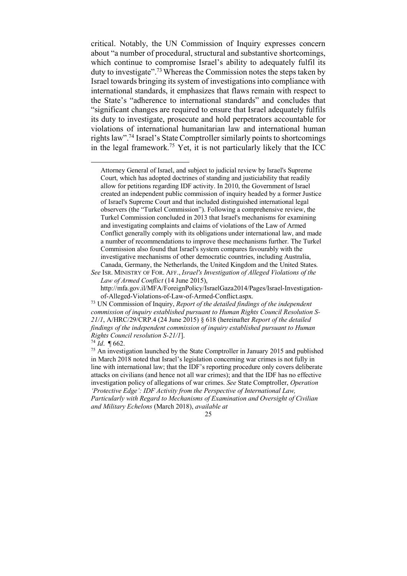critical. Notably, the UN Commission of Inquiry expresses concern about "a number of procedural, structural and substantive shortcomings, which continue to compromise Israel's ability to adequately fulfil its duty to investigate".73Whereas the Commission notes the steps taken by Israel towards bringing its system of investigations into compliance with international standards, it emphasizes that flaws remain with respect to the State's "adherence to international standards" and concludes that "significant changes are required to ensure that Israel adequately fulfils its duty to investigate, prosecute and hold perpetrators accountable for violations of international humanitarian law and international human rights law".<sup>74</sup> Israel's State Comptroller similarly points to shortcomings in the legal framework.<sup>75</sup> Yet, it is not particularly likely that the ICC

Attorney General of Israel, and subject to judicial review by Israel's Supreme Court, which has adopted doctrines of standing and justiciability that readily allow for petitions regarding IDF activity. In 2010, the Government of Israel created an independent public commission of inquiry headed by a former Justice of Israel's Supreme Court and that included distinguished international legal observers (the "Turkel Commission"). Following a comprehensive review, the Turkel Commission concluded in 2013 that Israel's mechanisms for examining and investigating complaints and claims of violations of the Law of Armed Conflict generally comply with its obligations under international law, and made a number of recommendations to improve these mechanisms further. The Turkel Commission also found that Israel's system compares favourably with the investigative mechanisms of other democratic countries, including Australia, Canada, Germany, the Netherlands, the United Kingdom and the United States.

*See* ISR. MINISTRY OF FOR. AFF., *Israel's Investigation of Alleged Violations of the Law of Armed Conflict* (14 June 2015),

http://mfa.gov.il/MFA/ForeignPolicy/IsraelGaza2014/Pages/Israel-Investigationof-Alleged-Violations-of-Law-of-Armed-Conflict.aspx.

<sup>73</sup> UN Commission of Inquiry, *Report of the detailed findings of the independent commission of inquiry established pursuant to Human Rights Council Resolution S-21/1*, A/HRC/29/CRP.4 (24 June 2015) § 618 (hereinafter *Report of the detailed findings of the independent commission of inquiry established pursuant to Human Rights Council resolution S-21/1*].

 $74$  *Id.*  $\sqrt{662}$ .

<sup>75</sup> An investigation launched by the State Comptroller in January 2015 and published in March 2018 noted that Israel's legislation concerning war crimes is not fully in line with international law; that the IDF's reporting procedure only covers deliberate attacks on civilians (and hence not all war crimes); and that the IDF has no effective investigation policy of allegations of war crimes. *See* State Comptroller, *Operation 'Protective Edge': IDF Activity from the Perspective of International Law, Particularly with Regard to Mechanisms of Examination and Oversight of Civilian and Military Echelons* (March 2018), *available at*

<sup>25</sup>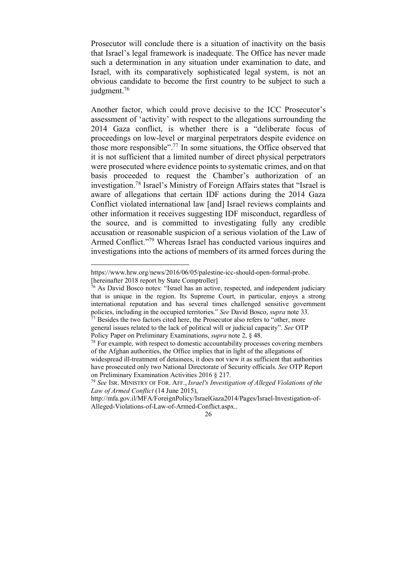Prosecutor will conclude there is a situation of inactivity on the basis that Israel's legal framework is inadequate. The Office has never made such a determination in any situation under examination to date, and Israel, with its comparatively sophisticated legal system, is not an obvious candidate to become the first country to be subject to such a judgment.<sup>76</sup>

Another factor, which could prove decisive to the ICC Prosecutor's assessment of 'activity' with respect to the allegations surrounding the 2014 Gaza conflict, is whether there is a "deliberate focus of proceedings on low-level or marginal perpetrators despite evidence on those more responsible".77 In some situations, the Office observed that it is not sufficient that a limited number of direct physical perpetrators were prosecuted where evidence points to systematic crimes, and on that basis proceeded to request the Chamber's authorization of an investigation.78 Israel's Ministry of Foreign Affairs states that "Israel is aware of allegations that certain IDF actions during the 2014 Gaza Conflict violated international law [and] Israel reviews complaints and other information it receives suggesting IDF misconduct, regardless of the source, and is committed to investigating fully any credible accusation or reasonable suspicion of a serious violation of the Law of Armed Conflict."<sup>79</sup> Whereas Israel has conducted various inquires and investigations into the actions of members of its armed forces during the

https://www.hrw.org/news/2016/06/05/palestine-icc-should-open-formal-probe. [hereinafter 2018 report by State Comptroller]

 $76$  As David Bosco notes: "Israel has an active, respected, and independent judiciary that is unique in the region. Its Supreme Court, in particular, enjoys a strong international reputation and has several times challenged sensitive government policies, including in the occupied territories." *See* David Bosco, *supra* note 33.<br><sup>77</sup> Besides the two factors cited here, the Prosecutor also refers to "other, more

general issues related to the lack of political will or judicial capacity". *See* OTP Policy Paper on Preliminary Examinations, *supra* note 2, § 48.

<sup>&</sup>lt;sup>78</sup> For example, with respect to domestic accountability processes covering members of the Afghan authorities, the Office implies that in light of the allegations of

widespread ill-treatment of detainees, it does not view it as sufficient that authorities have prosecuted only two National Directorate of Security officials. *See* OTP Report on Preliminary Examination Activities 2016 § 217.

<sup>79</sup> *See* ISR. MINISTRY OF FOR. AFF., *Israel's Investigation of Alleged Violations of the Law of Armed Conflict* (14 June 2015),

http://mfa.gov.il/MFA/ForeignPolicy/IsraelGaza2014/Pages/Israel-Investigation-of-Alleged-Violations-of-Law-of-Armed-Conflict.aspx..

<sup>26</sup>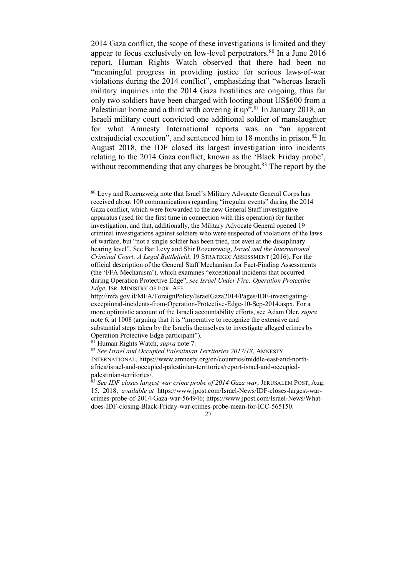2014 Gaza conflict, the scope of these investigations is limited and they appear to focus exclusively on low-level perpetrators. $80$  In a June 2016 report, Human Rights Watch observed that there had been no "meaningful progress in providing justice for serious laws-of-war violations during the 2014 conflict", emphasizing that "whereas Israeli military inquiries into the 2014 Gaza hostilities are ongoing, thus far only two soldiers have been charged with looting about US\$600 from a Palestinian home and a third with covering it up".<sup>81</sup> In January 2018, an Israeli military court convicted one additional soldier of manslaughter for what Amnesty International reports was an "an apparent extrajudicial execution", and sentenced him to 18 months in prison.<sup>82</sup> In August 2018, the IDF closed its largest investigation into incidents relating to the 2014 Gaza conflict, known as the 'Black Friday probe', without recommending that any charges be brought. $83$  The report by the

 <sup>80</sup> Levy and Rozenzweig note that Israel's Military Advocate General Corps has received about 100 communications regarding "irregular events" during the 2014 Gaza conflict, which were forwarded to the new General Staff investigative apparatus (used for the first time in connection with this operation) for further investigation, and that, additionally, the Military Advocate General opened 19 criminal investigations against soldiers who were suspected of violations of the laws of warfare, but "not a single soldier has been tried, not even at the disciplinary hearing level". See Bar Levy and Shir Rozenzweig, *Israel and the International Criminal Court: A Legal Battlefield*, 19 STRATEGIC ASSESSMENT (2016). For the official description of the General Staff Mechanism for Fact-Finding Assessments (the 'FFA Mechanism'), which examines "exceptional incidents that occurred during Operation Protective Edge", *see Israel Under Fire: Operation Protective Edge*, ISR. MINISTRY OF FOR. AFF.

http://mfa.gov.il/MFA/ForeignPolicy/IsraelGaza2014/Pages/IDF-investigatingexceptional-incidents-from-Operation-Protective-Edge-10-Sep-2014.aspx*.* For a more optimistic account of the Israeli accountability efforts, see Adam Oler, *supra* note 6, at 1008 (arguing that it is "imperative to recognize the extensive and substantial steps taken by the Israelis themselves to investigate alleged crimes by Operation Protective Edge participant").

<sup>81</sup> Human Rights Watch, *supra* note 7.

<sup>82</sup> *See Israel and Occupied Palestinian Territories 2017/18*, AMNESTY INTERNATIONAL, https://www.amnesty.org/en/countries/middle-east-and-northafrica/israel-and-occupied-palestinian-territories/report-israel-and-occupied-

palestinian-territories/. 83 *See IDF closes largest war crime probe of <sup>2014</sup> Gaza war*, JERUSALEM POST, Aug. 15, 2018, *available at* https://www.jpost.com/Israel-News/IDF-closes-largest-warcrimes-probe-of-2014-Gaza-war-564946; https://www.jpost.com/Israel-News/Whatdoes-IDF-closing-Black-Friday-war-crimes-probe-mean-for-ICC-565150.

<sup>27</sup>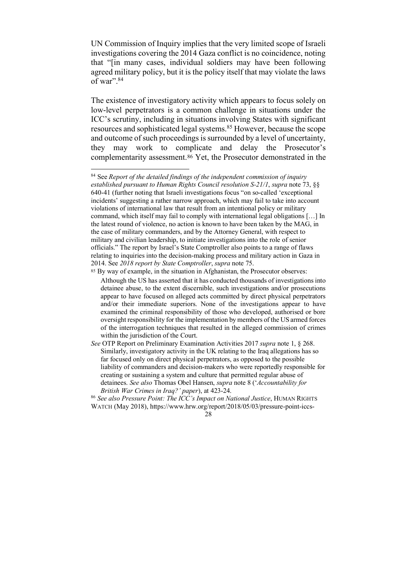UN Commission of Inquiry implies that the very limited scope of Israeli investigations covering the 2014 Gaza conflict is no coincidence, noting that "[in many cases, individual soldiers may have been following agreed military policy, but it is the policy itself that may violate the laws of war".84

The existence of investigatory activity which appears to focus solely on low-level perpetrators is a common challenge in situations under the ICC's scrutiny, including in situations involving States with significant resources and sophisticated legal systems.85 However, because the scope and outcome of such proceedings is surrounded by a level of uncertainty, they may work to complicate and delay the Prosecutor's complementarity assessment.86 Yet, the Prosecutor demonstrated in the

 <sup>84</sup> See *Report of the detailed findings of the independent commission of inquiry established pursuant to Human Rights Council resolution S-21/1*, *supra* note 73, §§ 640-41 (further noting that Israeli investigations focus "on so-called 'exceptional incidents' suggesting a rather narrow approach, which may fail to take into account violations of international law that result from an intentional policy or military command, which itself may fail to comply with international legal obligations […] In the latest round of violence, no action is known to have been taken by the MAG, in the case of military commanders, and by the Attorney General, with respect to military and civilian leadership, to initiate investigations into the role of senior officials." The report by Israel's State Comptroller also points to a range of flaws relating to inquiries into the decision-making process and military action in Gaza in 2014. See *2018 report by State Comptroller*, *supra* note 75.

<sup>85</sup> By way of example, in the situation in Afghanistan, the Prosecutor observes:

Although the US has asserted that it has conducted thousands of investigations into detainee abuse, to the extent discernible, such investigations and/or prosecutions appear to have focused on alleged acts committed by direct physical perpetrators and/or their immediate superiors. None of the investigations appear to have examined the criminal responsibility of those who developed, authorised or bore oversight responsibility for the implementation by members of the US armed forces of the interrogation techniques that resulted in the alleged commission of crimes within the jurisdiction of the Court.

*See* OTP Report on Preliminary Examination Activities 2017 *supra* note 1, § 268. Similarly, investigatory activity in the UK relating to the Iraq allegations has so far focused only on direct physical perpetrators, as opposed to the possible liability of commanders and decision-makers who were reportedly responsible for creating or sustaining a system and culture that permitted regular abuse of detainees. *See also* Thomas Obel Hansen, *supra* note 8 ('*Accountability for British War Crimes in Iraq?' paper*), at 423-24.

<sup>86</sup> *See also Pressure Point: The ICC's Impact on National Justice*, HUMAN RIGHTS WATCH (May 2018), https://www.hrw.org/report/2018/05/03/pressure-point-iccs-

<sup>28</sup>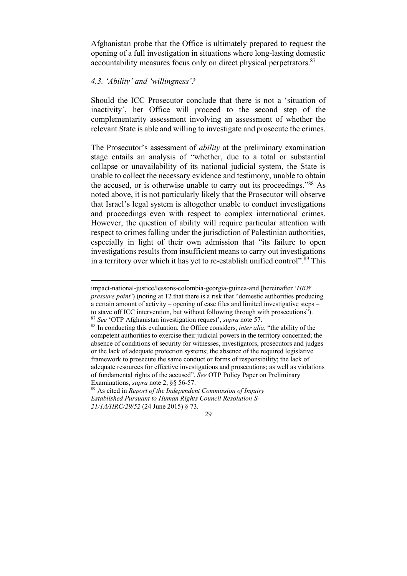Afghanistan probe that the Office is ultimately prepared to request the opening of a full investigation in situations where long-lasting domestic accountability measures focus only on direct physical perpetrators.87

# *4.3. 'Ability' and 'willingness'?*

 $\overline{a}$ 

Should the ICC Prosecutor conclude that there is not a 'situation of inactivity', her Office will proceed to the second step of the complementarity assessment involving an assessment of whether the relevant State is able and willing to investigate and prosecute the crimes.

The Prosecutor's assessment of *ability* at the preliminary examination stage entails an analysis of "whether, due to a total or substantial collapse or unavailability of its national judicial system, the State is unable to collect the necessary evidence and testimony, unable to obtain the accused, or is otherwise unable to carry out its proceedings."88 As noted above, it is not particularly likely that the Prosecutor will observe that Israel's legal system is altogether unable to conduct investigations and proceedings even with respect to complex international crimes. However, the question of ability will require particular attention with respect to crimes falling under the jurisdiction of Palestinian authorities, especially in light of their own admission that "its failure to open investigations results from insufficient means to carry out investigations in a territory over which it has yet to re-establish unified control".<sup>89</sup> This

impact-national-justice/lessons-colombia-georgia-guinea-and [hereinafter '*HRW pressure point'*) (noting at 12 that there is a risk that "domestic authorities producing a certain amount of activity – opening of case files and limited investigative steps – to stave off ICC intervention, but without following through with prosecutions"). <sup>87</sup> *See* 'OTP Afghanistan investigation request', *supra* note 57.

<sup>88</sup> In conducting this evaluation, the Office considers, *inter alia*, "the ability of the competent authorities to exercise their judicial powers in the territory concerned; the absence of conditions of security for witnesses, investigators, prosecutors and judges or the lack of adequate protection systems; the absence of the required legislative framework to prosecute the same conduct or forms of responsibility; the lack of adequate resources for effective investigations and prosecutions; as well as violations of fundamental rights of the accused". *See* OTP Policy Paper on Preliminary Examinations, *supra* note 2, §§ 56-57.

<sup>89</sup> As cited in *Report of the Independent Commission of Inquiry Established Pursuant to Human Rights Council Resolution S-21/1A/HRC/29/52* (24 June 2015) § 73.

<sup>29</sup>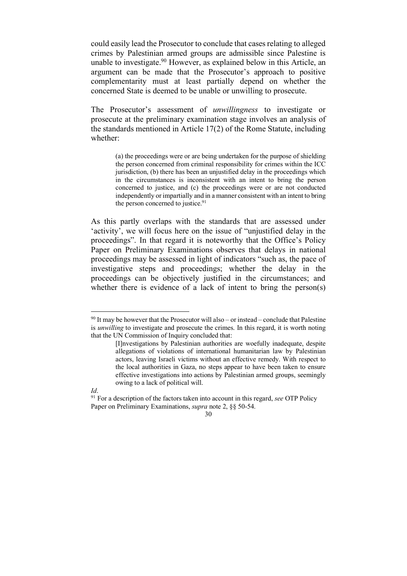could easily lead the Prosecutor to conclude that casesrelating to alleged crimes by Palestinian armed groups are admissible since Palestine is unable to investigate.<sup>90</sup> However, as explained below in this Article, an argument can be made that the Prosecutor's approach to positive complementarity must at least partially depend on whether the concerned State is deemed to be unable or unwilling to prosecute.

The Prosecutor's assessment of *unwillingness* to investigate or prosecute at the preliminary examination stage involves an analysis of the standards mentioned in Article 17(2) of the Rome Statute, including whether:

(a) the proceedings were or are being undertaken for the purpose of shielding the person concerned from criminal responsibility for crimes within the ICC jurisdiction, (b) there has been an unjustified delay in the proceedings which in the circumstances is inconsistent with an intent to bring the person concerned to justice, and (c) the proceedings were or are not conducted independently or impartially and in a manner consistent with an intent to bring the person concerned to justice.<sup>91</sup>

As this partly overlaps with the standards that are assessed under 'activity', we will focus here on the issue of "unjustified delay in the proceedings". In that regard it is noteworthy that the Office's Policy Paper on Preliminary Examinations observes that delays in national proceedings may be assessed in light of indicators "such as, the pace of investigative steps and proceedings; whether the delay in the proceedings can be objectively justified in the circumstances; and whether there is evidence of a lack of intent to bring the person(s)

 $90$  It may be however that the Prosecutor will also – or instead – conclude that Palestine is *unwilling* to investigate and prosecute the crimes. In this regard, it is worth noting that the UN Commission of Inquiry concluded that:

<sup>[</sup>I]nvestigations by Palestinian authorities are woefully inadequate, despite allegations of violations of international humanitarian law by Palestinian actors, leaving Israeli victims without an effective remedy. With respect to the local authorities in Gaza, no steps appear to have been taken to ensure effective investigations into actions by Palestinian armed groups, seemingly owing to a lack of political will.

*Id*.

<sup>91</sup> For a description of the factors taken into account in this regard, *see* OTP Policy Paper on Preliminary Examinations, *supra* note 2, §§ 50-54.

<sup>30</sup>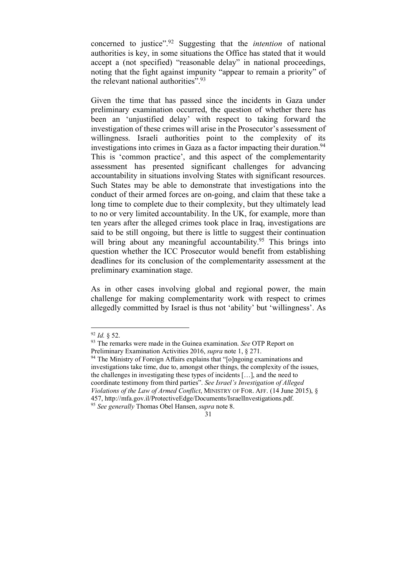concerned to justice".92 Suggesting that the *intention* of national authorities is key, in some situations the Office has stated that it would accept a (not specified) "reasonable delay" in national proceedings, noting that the fight against impunity "appear to remain a priority" of the relevant national authorities".<sup>93</sup>

Given the time that has passed since the incidents in Gaza under preliminary examination occurred, the question of whether there has been an 'unjustified delay' with respect to taking forward the investigation of these crimes will arise in the Prosecutor's assessment of willingness. Israeli authorities point to the complexity of its investigations into crimes in Gaza as a factor impacting their duration.<sup>94</sup> This is 'common practice', and this aspect of the complementarity assessment has presented significant challenges for advancing accountability in situations involving States with significant resources. Such States may be able to demonstrate that investigations into the conduct of their armed forces are on-going, and claim that these take a long time to complete due to their complexity, but they ultimately lead to no or very limited accountability. In the UK, for example, more than ten years after the alleged crimes took place in Iraq, investigations are said to be still ongoing, but there is little to suggest their continuation will bring about any meaningful accountability.<sup>95</sup> This brings into question whether the ICC Prosecutor would benefit from establishing deadlines for its conclusion of the complementarity assessment at the preliminary examination stage.

As in other cases involving global and regional power, the main challenge for making complementarity work with respect to crimes allegedly committed by Israel is thus not 'ability' but 'willingness'. As

 <sup>92</sup> *Id.* § 52.

<sup>93</sup> The remarks were made in the Guinea examination. *See* OTP Report on Preliminary Examination Activities 2016, *supra* note 1, § 271.

<sup>&</sup>lt;sup>94</sup> The Ministry of Foreign Affairs explains that "[o]ngoing examinations and investigations take time, due to, amongst other things, the complexity of the issues, the challenges in investigating these types of incidents […], and the need to coordinate testimony from third parties". *See Israel's Investigation of Alleged Violations of the Law of Armed Conflict*, MINISTRY OF FOR. AFF. (14 June 2015), § 457, http://mfa.gov.il/ProtectiveEdge/Documents/IsraelInvestigations.pdf. <sup>95</sup> *See generally* Thomas Obel Hansen, *supra* note 8.

<sup>31</sup>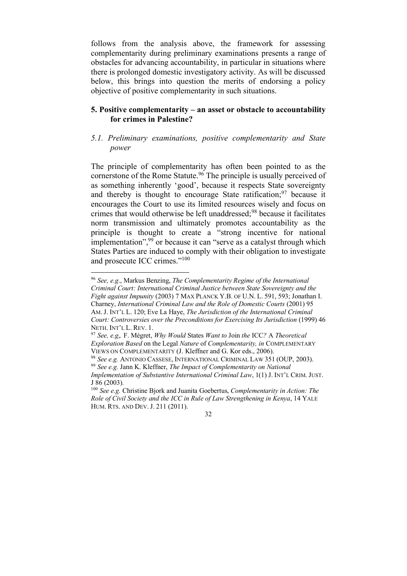follows from the analysis above, the framework for assessing complementarity during preliminary examinations presents a range of obstacles for advancing accountability, in particular in situations where there is prolonged domestic investigatory activity. As will be discussed below, this brings into question the merits of endorsing a policy objective of positive complementarity in such situations.

## **5. Positive complementarity – an asset or obstacle to accountability for crimes in Palestine?**

# *5.1. Preliminary examinations, positive complementarity and State power*

The principle of complementarity has often been pointed to as the cornerstone of the Rome Statute. <sup>96</sup> The principle is usually perceived of as something inherently 'good', because it respects State sovereignty and thereby is thought to encourage State ratification;  $97$  because it encourages the Court to use its limited resources wisely and focus on crimes that would otherwise be left unaddressed;<sup>98</sup> because it facilitates norm transmission and ultimately promotes accountability as the principle is thought to create a "strong incentive for national implementation",<sup>99</sup> or because it can "serve as a catalyst through which States Parties are induced to comply with their obligation to investigate and prosecute ICC crimes."100

 <sup>96</sup> *See, e.g*., Markus Benzing, *The Complementarity Regime of the International Criminal Court: International Criminal Justice between State Sovereignty and the Fight against Impunity* (2003) 7 MAX PLANCK Y.B. OF U.N. L. 591, 593; Jonathan I. Charney, *International Criminal Law and the Role of Domestic Courts* (2001) 95 AM. J. INT'L L. 120; Eve La Haye, *The Jurisdiction of the International Criminal Court: Controversies over the Preconditions for Exercising Its Jurisdiction* (1999) 46 NETH. INT'L L. REV. 1. 97 *See, e.g*,*.* F. Mégret, *Why Would* States *Want to* Join *the* ICC*?* <sup>A</sup> *Theoretical*

*Exploration Based* on the Legal *Nature* of *Complementarity, in* COMPLEMENTARY VIEWS ON COMPLEMENTARITY (J. Kleffner and G. Kor eds., 2006). 98 *See e.g.* ANTONIO CASSESE, INTERNATIONAL CRIMINAL LAW <sup>351</sup> (OUP, 2003).

<sup>99</sup> *See e.g.* Jann K. Kleffner, *The Impact of Complementarity on National Implementation of Substantive International Criminal Law*, 1(1) J. INT'L CRIM. JUST. J 86 (2003).

<sup>100</sup> *See e.g.* Christine Bjork and Juanita Goebertus, *Complementarity in Action: The Role of Civil Society and the ICC in Rule of Law Strengthening in Kenya*, 14 YALE HUM. RTS. AND DEV. J. 211 (2011).

<sup>32</sup>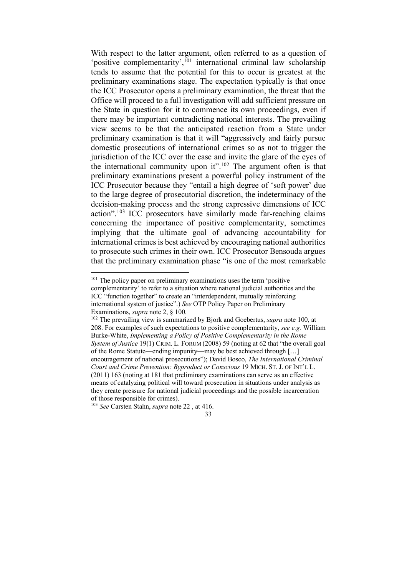With respect to the latter argument, often referred to as a question of 'positive complementarity',<sup>101</sup> international criminal law scholarship tends to assume that the potential for this to occur is greatest at the preliminary examinations stage. The expectation typically is that once the ICC Prosecutor opens a preliminary examination, the threat that the Office will proceed to a full investigation will add sufficient pressure on the State in question for it to commence its own proceedings, even if there may be important contradicting national interests. The prevailing view seems to be that the anticipated reaction from a State under preliminary examination is that it will "aggressively and fairly pursue domestic prosecutions of international crimes so as not to trigger the jurisdiction of the ICC over the case and invite the glare of the eyes of the international community upon it".102 The argument often is that preliminary examinations present a powerful policy instrument of the ICC Prosecutor because they "entail a high degree of 'soft power' due to the large degree of prosecutorial discretion, the indeterminacy of the decision-making process and the strong expressive dimensions of ICC action".103 ICC prosecutors have similarly made far-reaching claims concerning the importance of positive complementarity, sometimes implying that the ultimate goal of advancing accountability for international crimes is best achieved by encouraging national authorities to prosecute such crimes in their own. ICC Prosecutor Bensouda argues that the preliminary examination phase "is one of the most remarkable

<sup>&</sup>lt;sup>101</sup> The policy paper on preliminary examinations uses the term 'positive complementarity' to refer to a situation where national judicial authorities and the ICC "function together" to create an "interdependent, mutually reinforcing international system of justice".) *See* OTP Policy Paper on Preliminary Examinations, *supra* note 2, § 100.

<sup>102</sup> The prevailing view is summarized by Bjork and Goebertus, *supra* note 100, at 208. For examples of such expectations to positive complementarity, *see e.g.* William Burke-White, *Implementing a Policy of Positive Complementarity in the Rome System of Justice* 19(1) CRIM. L. FORUM (2008) 59 (noting at 62 that "the overall goal of the Rome Statute—ending impunity—may be best achieved through […] encouragement of national prosecutions"); David Bosco, *The International Criminal Court and Crime Prevention: Byproduct or Conscious* 19 MICH. ST. J. OF INT'L L. (2011) 163 (noting at 181 that preliminary examinations can serve as an effective means of catalyzing political will toward prosecution in situations under analysis as they create pressure for national judicial proceedings and the possible incarceration of those responsible for crimes).

<sup>103</sup> *See* Carsten Stahn, *supra* note 22 , at 416.

<sup>33</sup>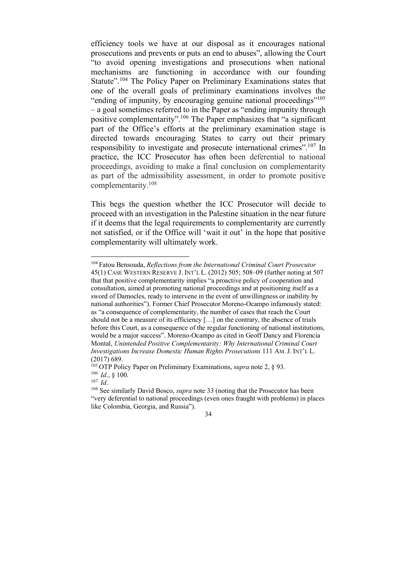efficiency tools we have at our disposal as it encourages national prosecutions and prevents or puts an end to abuses", allowing the Court "to avoid opening investigations and prosecutions when national mechanisms are functioning in accordance with our founding Statute".<sup>104</sup> The Policy Paper on Preliminary Examinations states that one of the overall goals of preliminary examinations involves the "ending of impunity, by encouraging genuine national proceedings"105 – a goal sometimes referred to in the Paper as "ending impunity through positive complementarity".106 The Paper emphasizes that "a significant part of the Office's efforts at the preliminary examination stage is directed towards encouraging States to carry out their primary responsibility to investigate and prosecute international crimes".107 In practice, the ICC Prosecutor has often been deferential to national proceedings, avoiding to make a final conclusion on complementarity as part of the admissibility assessment, in order to promote positive complementarity.108

This begs the question whether the ICC Prosecutor will decide to proceed with an investigation in the Palestine situation in the near future if it deems that the legal requirements to complementarity are currently not satisfied, or if the Office will 'wait it out' in the hope that positive complementarity will ultimately work.

<sup>107</sup> *Id*.

 <sup>104</sup> Fatou Bensouda, *Reflections from the International Criminal Court Prosecutor* 45(1) CASE WESTERN RESERVE J. INT'L L. (2012) 505; 508–09 (further noting at 507 that that positive complementarity implies "a proactive policy of cooperation and consultation, aimed at promoting national proceedings and at positioning itself as a sword of Damocles, ready to intervene in the event of unwillingness or inability by national authorities"). Former Chief Prosecutor Moreno-Ocampo infamously stated: as "a consequence of complementarity, the number of cases that reach the Court should not be a measure of its efficiency […] on the contrary, the absence of trials before this Court, as a consequence of the regular functioning of national institutions. would be a major success". Moreno-Ocampo as cited in Geoff Dancy and Florencia Montal, *Unintended Positive Complementarity: Why International Criminal Court Investigations Increase Domestic Human Rights Prosecutions* 111 AM.J. INT'L L.  $(2017)$  689.

<sup>105</sup> OTP Policy Paper on Preliminary Examinations, *supra* note 2, § 93. <sup>106</sup> *Id*., § 100.

<sup>108</sup> See similarly David Bosco, *supra* note 33 (noting that the Prosecutor has been "very deferential to national proceedings (even ones fraught with problems) in places like Colombia, Georgia, and Russia").

<sup>34</sup>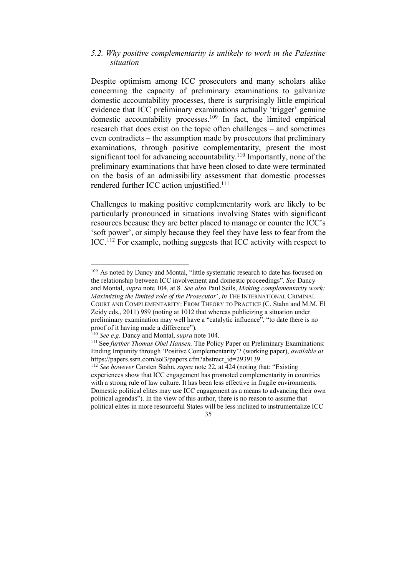#### *5.2. Why positive complementarity is unlikely to work in the Palestine situation*

Despite optimism among ICC prosecutors and many scholars alike concerning the capacity of preliminary examinations to galvanize domestic accountability processes, there is surprisingly little empirical evidence that ICC preliminary examinations actually 'trigger' genuine domestic accountability processes.<sup>109</sup> In fact, the limited empirical research that does exist on the topic often challenges – and sometimes even contradicts – the assumption made by prosecutors that preliminary examinations, through positive complementarity, present the most significant tool for advancing accountability.<sup>110</sup> Importantly, none of the preliminary examinations that have been closed to date were terminated on the basis of an admissibility assessment that domestic processes rendered further ICC action unjustified.<sup>111</sup>

Challenges to making positive complementarity work are likely to be particularly pronounced in situations involving States with significant resources because they are better placed to manage or counter the ICC's 'soft power', or simply because they feel they have less to fear from the ICC.112 For example, nothing suggests that ICC activity with respect to

<sup>&</sup>lt;sup>109</sup> As noted by Dancy and Montal, "little systematic research to date has focused on the relationship between ICC involvement and domestic proceedings". *See* Dancy and Montal, *supra* note 104, at 8. *See also* Paul Seils, *Making complementarity work: Maximizing the limited role of the Prosecutor*', *in* THE INTERNATIONAL CRIMINAL COURT AND COMPLEMENTARITY: FROM THEORY TO PRACTICE (C. Stahn and M.M. El Zeidy eds., 2011) 989 (noting at 1012 that whereas publicizing a situation under preliminary examination may well have a "catalytic influence", "to date there is no proof of it having made a difference").

<sup>110</sup> *See e.g.* Dancy and Montal, *supra* note 104.

<sup>111</sup> See *further Thomas Obel Hansen,* The Policy Paper on Preliminary Examinations: Ending Impunity through 'Positive Complementarity'? (working paper), *available at* https://papers.ssrn.com/sol3/papers.cfm?abstract\_id=2939139. 112 *See however* Carsten Stahn, *supra* note 22, at 424 (noting that: "Existing

experiences show that ICC engagement has promoted complementarity in countries with a strong rule of law culture. It has been less effective in fragile environments. Domestic political elites may use ICC engagement as a means to advancing their own political agendas"). In the view of this author, there is no reason to assume that political elites in more resourceful States will be less inclined to instrumentalize ICC

<sup>35</sup>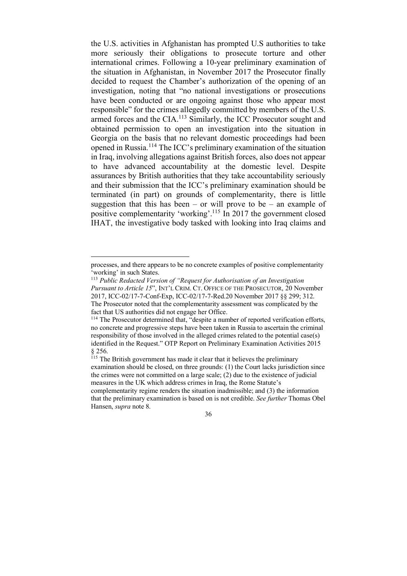the U.S. activities in Afghanistan has prompted U.S authorities to take more seriously their obligations to prosecute torture and other international crimes. Following a 10-year preliminary examination of the situation in Afghanistan, in November 2017 the Prosecutor finally decided to request the Chamber's authorization of the opening of an investigation, noting that "no national investigations or prosecutions have been conducted or are ongoing against those who appear most responsible" for the crimes allegedly committed by members of the U.S. armed forces and the CIA.<sup>113</sup> Similarly, the ICC Prosecutor sought and obtained permission to open an investigation into the situation in Georgia on the basis that no relevant domestic proceedings had been opened in Russia.114 The ICC's preliminary examination of the situation in Iraq, involving allegations against British forces, also does not appear to have advanced accountability at the domestic level. Despite assurances by British authorities that they take accountability seriously and their submission that the ICC's preliminary examination should be terminated (in part) on grounds of complementarity, there is little suggestion that this has been – or will prove to be – an example of positive complementarity 'working'.115 In 2017 the government closed IHAT, the investigative body tasked with looking into Iraq claims and

processes, and there appears to be no concrete examples of positive complementarity 'working' in such States.

<sup>113</sup> *Public Redacted Version of "Request for Authorisation of an Investigation Pursuant to Article 15*", INT'L CRIM. CT. OFFICE OF THE PROSECUTOR, 20 November 2017, ICC-02/17-7-Conf-Exp, ICC-02/17-7-Red.20 November 2017 §§ 299; 312. The Prosecutor noted that the complementarity assessment was complicated by the fact that US authorities did not engage her Office.

<sup>114</sup> The Prosecutor determined that, "despite a number of reported verification efforts, no concrete and progressive steps have been taken in Russia to ascertain the criminal responsibility of those involved in the alleged crimes related to the potential case(s) identified in the Request." OTP Report on Preliminary Examination Activities 2015 § 256.

<sup>&</sup>lt;sup>115</sup> The British government has made it clear that it believes the preliminary examination should be closed, on three grounds: (1) the Court lacks jurisdiction since the crimes were not committed on a large scale; (2) due to the existence of judicial measures in the UK which address crimes in Iraq, the Rome Statute's complementarity regime renders the situation inadmissible; and (3) the information that the preliminary examination is based on is not credible. *See further* Thomas Obel Hansen, *supra* note 8.

<sup>36</sup>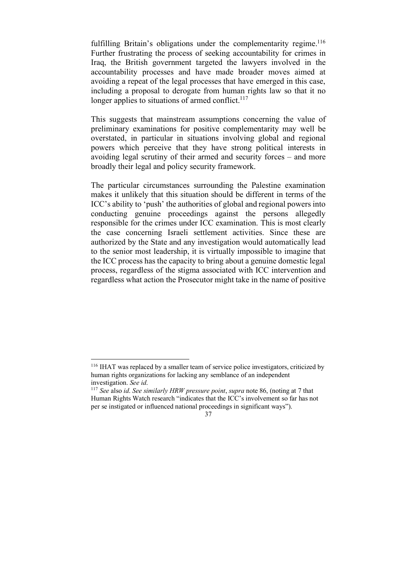fulfilling Britain's obligations under the complementarity regime.<sup>116</sup> Further frustrating the process of seeking accountability for crimes in Iraq, the British government targeted the lawyers involved in the accountability processes and have made broader moves aimed at avoiding a repeat of the legal processes that have emerged in this case, including a proposal to derogate from human rights law so that it no longer applies to situations of armed conflict. $117$ 

This suggests that mainstream assumptions concerning the value of preliminary examinations for positive complementarity may well be overstated, in particular in situations involving global and regional powers which perceive that they have strong political interests in avoiding legal scrutiny of their armed and security forces – and more broadly their legal and policy security framework.

The particular circumstances surrounding the Palestine examination makes it unlikely that this situation should be different in terms of the ICC's ability to 'push' the authorities of global and regional powers into conducting genuine proceedings against the persons allegedly responsible for the crimes under ICC examination. This is most clearly the case concerning Israeli settlement activities. Since these are authorized by the State and any investigation would automatically lead to the senior most leadership, it is virtually impossible to imagine that the ICC process has the capacity to bring about a genuine domestic legal process, regardless of the stigma associated with ICC intervention and regardless what action the Prosecutor might take in the name of positive

 <sup>116</sup> IHAT was replaced by <sup>a</sup> smaller team of service police investigators, criticized by human rights organizations for lacking any semblance of an independent investigation. See id.

investigation. *See id*. 117 *See* also *id*. *See similarly HRW pressure point*, *supra* note 86, (noting at 7 that Human Rights Watch research "indicates that the ICC's involvement so far has not per se instigated or influenced national proceedings in significant ways").

<sup>37</sup>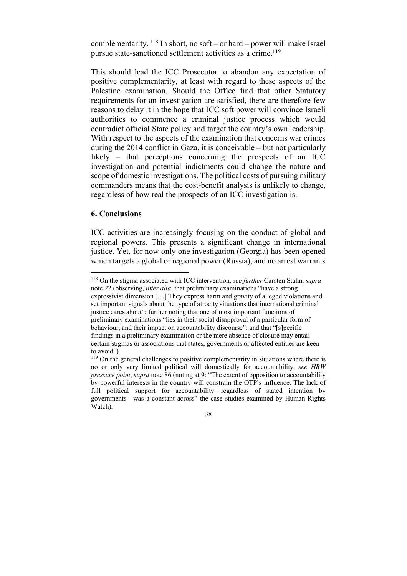complementarity.  $^{118}$  In short, no soft – or hard – power will make Israel pursue state-sanctioned settlement activities as a crime.<sup>119</sup>

This should lead the ICC Prosecutor to abandon any expectation of positive complementarity, at least with regard to these aspects of the Palestine examination. Should the Office find that other Statutory requirements for an investigation are satisfied, there are therefore few reasons to delay it in the hope that ICC soft power will convince Israeli authorities to commence a criminal justice process which would contradict official State policy and target the country's own leadership. With respect to the aspects of the examination that concerns war crimes during the 2014 conflict in Gaza, it is conceivable – but not particularly likely – that perceptions concerning the prospects of an ICC investigation and potential indictments could change the nature and scope of domestic investigations. The political costs of pursuing military commanders means that the cost-benefit analysis is unlikely to change, regardless of how real the prospects of an ICC investigation is.

# **6. Conclusions**

ICC activities are increasingly focusing on the conduct of global and regional powers. This presents a significant change in international justice. Yet, for now only one investigation (Georgia) has been opened which targets a global or regional power (Russia), and no arrest warrants

 <sup>118</sup> On the stigma associated with ICC intervention, *see further* Carsten Stahn, *supra* note 22 (observing, *inter alia*, that preliminary examinations "have a strong expressivist dimension […] They express harm and gravity of alleged violations and set important signals about the type of atrocity situations that international criminal justice cares about"; further noting that one of most important functions of preliminary examinations "lies in their social disapproval of a particular form of behaviour, and their impact on accountability discourse"; and that "[s]pecific findings in a preliminary examination or the mere absence of closure may entail certain stigmas or associations that states, governments or affected entities are keen to avoid").

<sup>&</sup>lt;sup>119</sup> On the general challenges to positive complementarity in situations where there is no or only very limited political will domestically for accountability, *see HRW pressure point*, *supra* note 86 (noting at 9: "The extent of opposition to accountability by powerful interests in the country will constrain the OTP's influence. The lack of full political support for accountability—regardless of stated intention by governments—was a constant across" the case studies examined by Human Rights Watch).

<sup>38</sup>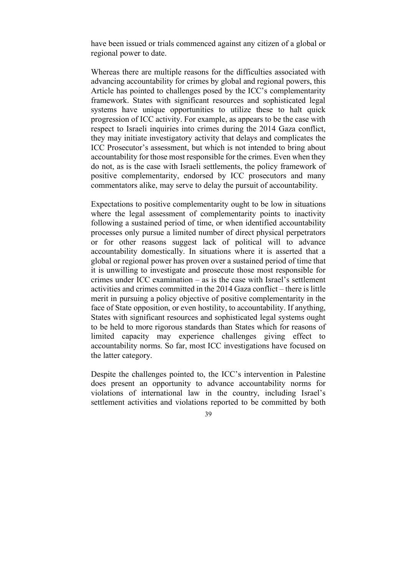have been issued or trials commenced against any citizen of a global or regional power to date.

Whereas there are multiple reasons for the difficulties associated with advancing accountability for crimes by global and regional powers, this Article has pointed to challenges posed by the ICC's complementarity framework. States with significant resources and sophisticated legal systems have unique opportunities to utilize these to halt quick progression of ICC activity. For example, as appears to be the case with respect to Israeli inquiries into crimes during the 2014 Gaza conflict, they may initiate investigatory activity that delays and complicates the ICC Prosecutor's assessment, but which is not intended to bring about accountability for those most responsible for the crimes. Even when they do not, as is the case with Israeli settlements, the policy framework of positive complementarity, endorsed by ICC prosecutors and many commentators alike, may serve to delay the pursuit of accountability.

Expectations to positive complementarity ought to be low in situations where the legal assessment of complementarity points to inactivity following a sustained period of time, or when identified accountability processes only pursue a limited number of direct physical perpetrators or for other reasons suggest lack of political will to advance accountability domestically. In situations where it is asserted that a global or regional power has proven over a sustained period of time that it is unwilling to investigate and prosecute those most responsible for crimes under ICC examination – as is the case with Israel's settlement activities and crimes committed in the 2014 Gaza conflict – there is little merit in pursuing a policy objective of positive complementarity in the face of State opposition, or even hostility, to accountability. If anything, States with significant resources and sophisticated legal systems ought to be held to more rigorous standards than States which for reasons of limited capacity may experience challenges giving effect to accountability norms. So far, most ICC investigations have focused on the latter category.

Despite the challenges pointed to, the ICC's intervention in Palestine does present an opportunity to advance accountability norms for violations of international law in the country, including Israel's settlement activities and violations reported to be committed by both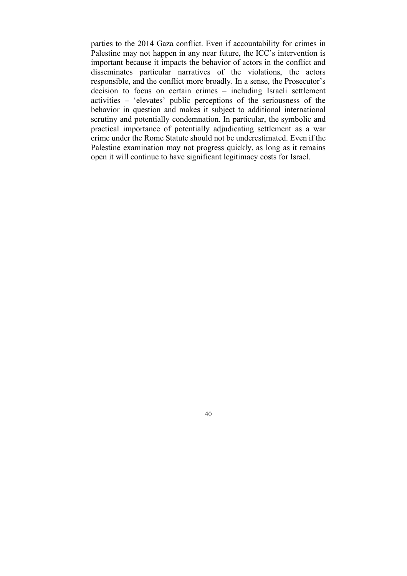parties to the 2014 Gaza conflict. Even if accountability for crimes in Palestine may not happen in any near future, the ICC's intervention is important because it impacts the behavior of actors in the conflict and disseminates particular narratives of the violations, the actors responsible, and the conflict more broadly. In a sense, the Prosecutor's decision to focus on certain crimes – including Israeli settlement activities – 'elevates' public perceptions of the seriousness of the behavior in question and makes it subject to additional international scrutiny and potentially condemnation. In particular, the symbolic and practical importance of potentially adjudicating settlement as a war crime under the Rome Statute should not be underestimated. Even if the Palestine examination may not progress quickly, as long as it remains open it will continue to have significant legitimacy costs for Israel.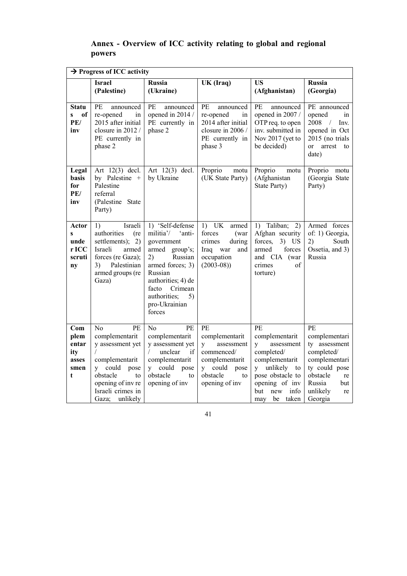# **Annex - Overview of ICC activity relating to global and regional powers**

| $\rightarrow$ Progress of ICC activity                 |                                                                                                                                                                            |                                                                                                                                                                                                                    |                                                                                                                                           |                                                                                                                                                                            |                                                                                                                                                      |  |  |  |
|--------------------------------------------------------|----------------------------------------------------------------------------------------------------------------------------------------------------------------------------|--------------------------------------------------------------------------------------------------------------------------------------------------------------------------------------------------------------------|-------------------------------------------------------------------------------------------------------------------------------------------|----------------------------------------------------------------------------------------------------------------------------------------------------------------------------|------------------------------------------------------------------------------------------------------------------------------------------------------|--|--|--|
|                                                        | <b>Israel</b><br>(Palestine)                                                                                                                                               | <b>Russia</b><br>(Ukraine)                                                                                                                                                                                         | UK (Iraq)                                                                                                                                 | <b>US</b><br>(Afghanistan)                                                                                                                                                 | <b>Russia</b><br>(Georgia)                                                                                                                           |  |  |  |
| <b>Statu</b><br>of<br>$\mathbf{s}$<br>PE/<br>inv       | PЕ<br>announced<br>re-opened<br>in<br>2015 after initial<br>closure in 2012/<br>PE currently in<br>phase 2                                                                 | PE<br>announced<br>opened in 2014 /<br>PE currently in<br>phase 2                                                                                                                                                  | PE<br>announced<br>re-opened<br>in<br>2014 after initial<br>closure in 2006 /<br>PE currently in<br>phase 3                               | PE<br>announced<br>opened in 2007 /<br>OTP req. to open<br>inv. submitted in<br>Nov 2017 (yet to<br>be decided)                                                            | PE announced<br>opened<br>$\sin$<br>2008<br>$\frac{1}{2}$<br>Inv.<br>opened in Oct<br>2015 (no trials<br>$\alpha$<br>arrest<br>to<br>date)           |  |  |  |
| Legal<br>basis<br>for<br>PE/<br>inv                    | Art 12(3) decl.<br>by Palestine +<br>Palestine<br>referral<br>(Palestine State<br>Party)                                                                                   | Art $12(3)$ decl.<br>by Ukraine                                                                                                                                                                                    | Proprio<br>motu<br>(UK State Party)                                                                                                       | Proprio<br>motu<br>(Afghanistan<br>State Party)                                                                                                                            | Proprio<br>motu<br>(Georgia State<br>Party)                                                                                                          |  |  |  |
| Actor<br>$\mathbf{s}$<br>unde<br>r ICC<br>scruti<br>ny | Israeli<br>1)<br>authorities<br>(re<br>settlements); $2)$<br>Israeli<br>armed<br>forces (re Gaza);<br>Palestinian<br>3)<br>armed groups (re<br>Gaza)                       | 1) 'Self-defense<br>militia'/<br>'anti-<br>government<br>armed group's;<br>2)<br>Russian<br>armed forces; 3)<br>Russian<br>authorities; 4) de<br>facto<br>Crimean<br>authorities;<br>5)<br>pro-Ukrainian<br>forces | $1)$ UK<br>armed<br>forces<br>(war<br>crimes<br>during<br>Iraq war<br>and<br>occupation<br>$(2003-08)$                                    | 1) Taliban;<br>2)<br>Afghan security<br>forces,<br>$3)$ US<br>forces<br>armed<br>and CIA (war<br>crimes<br>οf<br>torture)                                                  | Armed forces<br>of: 1) Georgia,<br>2)<br>South<br>Ossetia, and 3)<br>Russia                                                                          |  |  |  |
| Com<br>plem<br>entar<br>ity<br>asses<br>smen<br>t      | N <sub>0</sub><br>PE<br>complementarit<br>y assessment yet<br>complementarit<br>y could pose<br>obstacle<br>to<br>opening of inv re<br>Israeli crimes in<br>Gaza; unlikely | PE<br>No<br>complementarit<br>y assessment yet<br>unclear<br>if<br>$\sqrt{2}$<br>complementarit<br>y could pose<br>obstacle<br>to<br>opening of inv                                                                | PE<br>complementarit<br>$\mathbf{V}$<br>assessment<br>commenced/<br>complementarit<br>y could<br>pose<br>obstacle<br>to<br>opening of inv | PE<br>complementarit<br>assessment<br>V<br>completed/<br>complementarit<br>unlikely<br>V<br>to<br>pose obstacle to<br>opening of inv<br>but<br>info<br>new<br>may be taken | PE<br>complementari<br>ty assessment<br>completed/<br>complementari<br>ty could pose<br>obstacle<br>re<br>Russia<br>but<br>unlikely<br>re<br>Georgia |  |  |  |